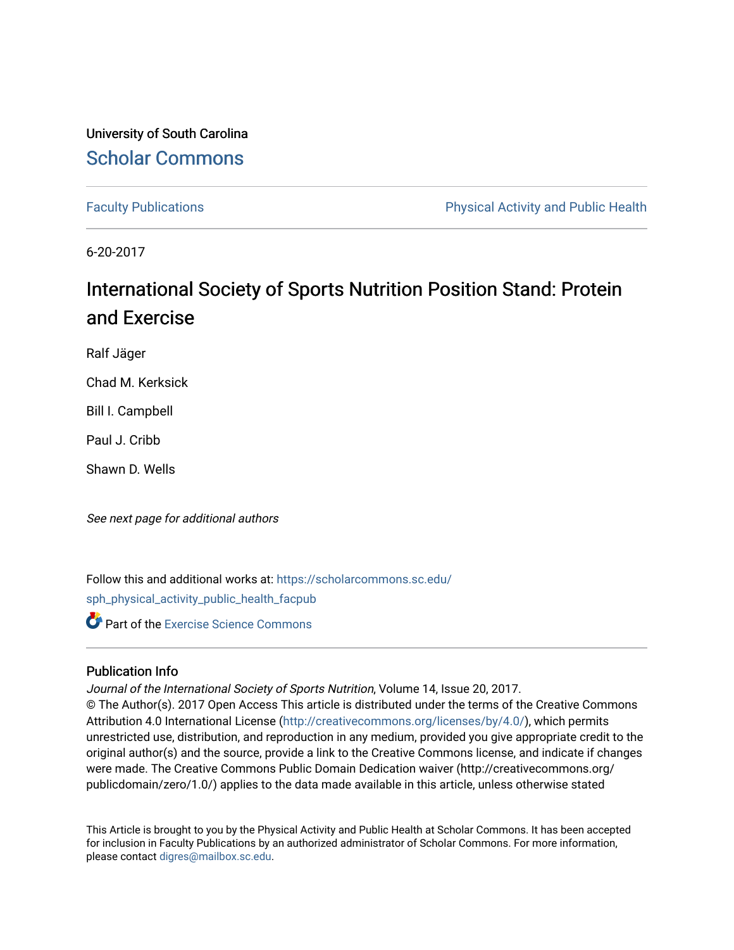University of South Carolina [Scholar Commons](https://scholarcommons.sc.edu/) 

[Faculty Publications](https://scholarcommons.sc.edu/sph_physical_activity_public_health_facpub) **Physical Activity and Public Health** Physical Activity and Public Health

6-20-2017

## International Society of Sports Nutrition Position Stand: Protein and Exercise

Ralf Jäger

Chad M. Kerksick

Bill I. Campbell

Paul J. Cribb

Shawn D. Wells

See next page for additional authors

Follow this and additional works at: [https://scholarcommons.sc.edu/](https://scholarcommons.sc.edu/sph_physical_activity_public_health_facpub?utm_source=scholarcommons.sc.edu%2Fsph_physical_activity_public_health_facpub%2F366&utm_medium=PDF&utm_campaign=PDFCoverPages) [sph\\_physical\\_activity\\_public\\_health\\_facpub](https://scholarcommons.sc.edu/sph_physical_activity_public_health_facpub?utm_source=scholarcommons.sc.edu%2Fsph_physical_activity_public_health_facpub%2F366&utm_medium=PDF&utm_campaign=PDFCoverPages) 

**C** Part of the [Exercise Science Commons](http://network.bepress.com/hgg/discipline/1091?utm_source=scholarcommons.sc.edu%2Fsph_physical_activity_public_health_facpub%2F366&utm_medium=PDF&utm_campaign=PDFCoverPages)

#### Publication Info

Journal of the International Society of Sports Nutrition, Volume 14, Issue 20, 2017.

© The Author(s). 2017 Open Access This article is distributed under the terms of the Creative Commons Attribution 4.0 International License [\(http://creativecommons.org/licenses/by/4.0/\)](http://creativecommons.org/licenses/by/4.0/), which permits unrestricted use, distribution, and reproduction in any medium, provided you give appropriate credit to the original author(s) and the source, provide a link to the Creative Commons license, and indicate if changes were made. The Creative Commons Public Domain Dedication waiver (http://creativecommons.org/ publicdomain/zero/1.0/) applies to the data made available in this article, unless otherwise stated

This Article is brought to you by the Physical Activity and Public Health at Scholar Commons. It has been accepted for inclusion in Faculty Publications by an authorized administrator of Scholar Commons. For more information, please contact [digres@mailbox.sc.edu](mailto:digres@mailbox.sc.edu).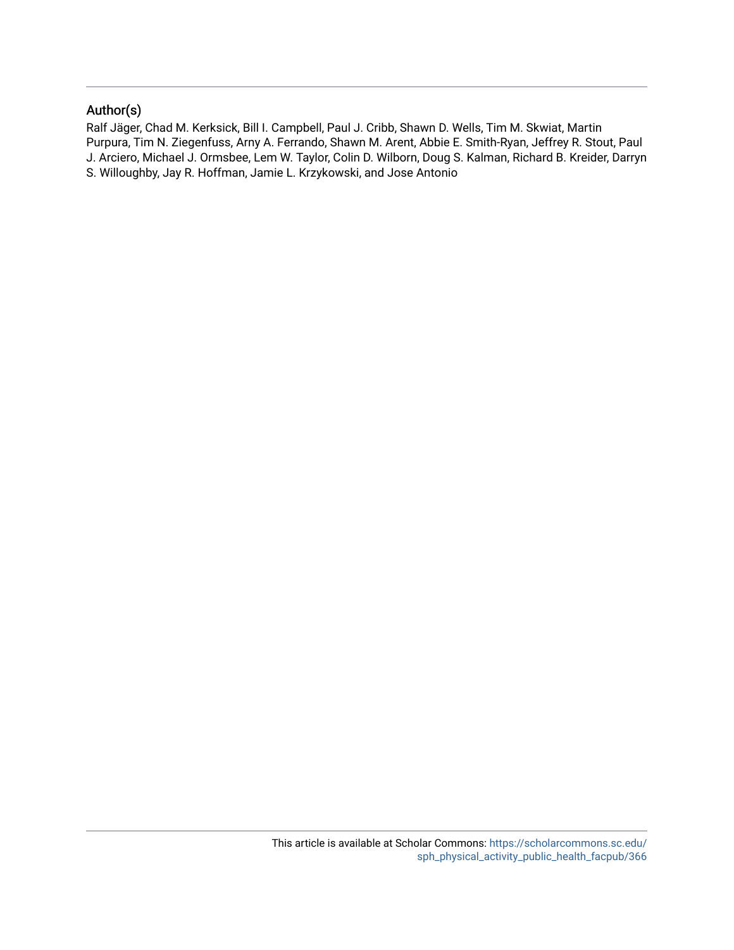### Author(s)

Ralf Jäger, Chad M. Kerksick, Bill I. Campbell, Paul J. Cribb, Shawn D. Wells, Tim M. Skwiat, Martin Purpura, Tim N. Ziegenfuss, Arny A. Ferrando, Shawn M. Arent, Abbie E. Smith-Ryan, Jeffrey R. Stout, Paul J. Arciero, Michael J. Ormsbee, Lem W. Taylor, Colin D. Wilborn, Doug S. Kalman, Richard B. Kreider, Darryn S. Willoughby, Jay R. Hoffman, Jamie L. Krzykowski, and Jose Antonio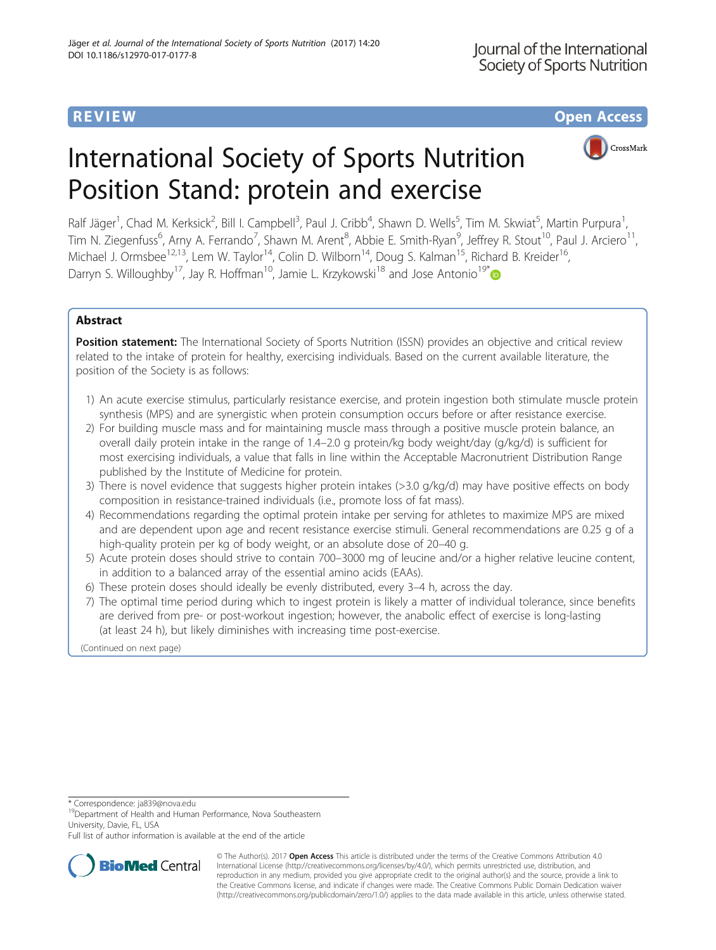**REVIEW CONSTRUCTION CONSTRUCTION CONSTRUCTS** 

CrossMark

# International Society of Sports Nutrition Position Stand: protein and exercise

Ralf Jäger<sup>1</sup>, Chad M. Kerksick<sup>2</sup>, Bill I. Campbell<sup>3</sup>, Paul J. Cribb<sup>4</sup>, Shawn D. Wells<sup>5</sup>, Tim M. Skwiat<sup>5</sup>, Martin Purpura<sup>1</sup> , Tim N. Ziegenfuss<sup>6</sup>, Arny A. Ferrando<sup>7</sup>, Shawn M. Arent<sup>8</sup>, Abbie E. Smith-Ryan<sup>9</sup>, Jeffrey R. Stout<sup>10</sup>, Paul J. Arciero<sup>11</sup>, Michael J. Ormsbee<sup>12,13</sup>, Lem W. Taylor<sup>14</sup>, Colin D. Wilborn<sup>14</sup>, Doug S. Kalman<sup>15</sup>, Richard B. Kreider<sup>16</sup>, Darryn S. Willoughby<sup>17</sup>, Jay R. Hoffman<sup>10</sup>, Jamie L. Krzykowski<sup>18</sup> and Jose Antonio<sup>19\*</sup>

#### Abstract

Position statement: The International Society of Sports Nutrition (ISSN) provides an objective and critical review related to the intake of protein for healthy, exercising individuals. Based on the current available literature, the position of the Society is as follows:

- 1) An acute exercise stimulus, particularly resistance exercise, and protein ingestion both stimulate muscle protein synthesis (MPS) and are synergistic when protein consumption occurs before or after resistance exercise.
- 2) For building muscle mass and for maintaining muscle mass through a positive muscle protein balance, an overall daily protein intake in the range of 1.4–2.0 g protein/kg body weight/day (g/kg/d) is sufficient for most exercising individuals, a value that falls in line within the Acceptable Macronutrient Distribution Range published by the Institute of Medicine for protein.
- 3) There is novel evidence that suggests higher protein intakes (>3.0 g/kg/d) may have positive effects on body composition in resistance-trained individuals (i.e., promote loss of fat mass).
- 4) Recommendations regarding the optimal protein intake per serving for athletes to maximize MPS are mixed and are dependent upon age and recent resistance exercise stimuli. General recommendations are 0.25 g of a high-quality protein per kg of body weight, or an absolute dose of 20–40 g.
- 5) Acute protein doses should strive to contain 700–3000 mg of leucine and/or a higher relative leucine content, in addition to a balanced array of the essential amino acids (EAAs).
- 6) These protein doses should ideally be evenly distributed, every 3–4 h, across the day.
- 7) The optimal time period during which to ingest protein is likely a matter of individual tolerance, since benefits are derived from pre- or post-workout ingestion; however, the anabolic effect of exercise is long-lasting (at least 24 h), but likely diminishes with increasing time post-exercise.

(Continued on next page)

\* Correspondence: [ja839@nova.edu](mailto:ja839@nova.edu)<br><sup>19</sup>Department of Health and Human Performance, Nova Southeastern University, Davie, FL, USA

Full list of author information is available at the end of the article



© The Author(s). 2017 **Open Access** This article is distributed under the terms of the Creative Commons Attribution 4.0 International License [\(http://creativecommons.org/licenses/by/4.0/](http://creativecommons.org/licenses/by/4.0/)), which permits unrestricted use, distribution, and reproduction in any medium, provided you give appropriate credit to the original author(s) and the source, provide a link to the Creative Commons license, and indicate if changes were made. The Creative Commons Public Domain Dedication waiver [\(http://creativecommons.org/publicdomain/zero/1.0/](http://creativecommons.org/publicdomain/zero/1.0/)) applies to the data made available in this article, unless otherwise stated.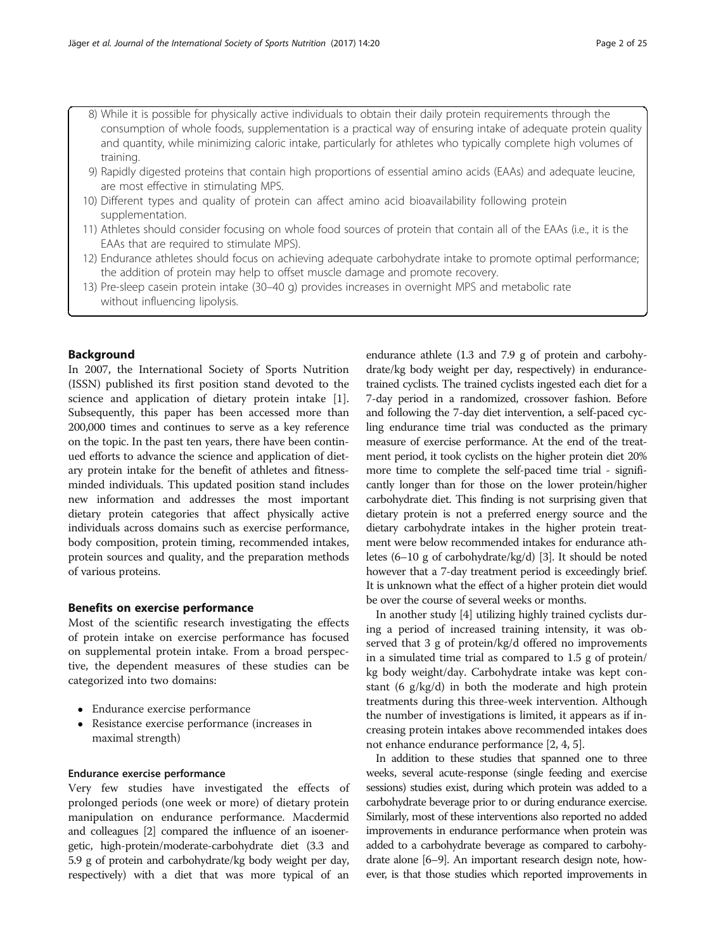- 8) While it is possible for physically active individuals to obtain their daily protein requirements through the consumption of whole foods, supplementation is a practical way of ensuring intake of adequate protein quality and quantity, while minimizing caloric intake, particularly for athletes who typically complete high volumes of training.
- 9) Rapidly digested proteins that contain high proportions of essential amino acids (EAAs) and adequate leucine, are most effective in stimulating MPS.
- 10) Different types and quality of protein can affect amino acid bioavailability following protein supplementation.
- 11) Athletes should consider focusing on whole food sources of protein that contain all of the EAAs (i.e., it is the EAAs that are required to stimulate MPS).
- 12) Endurance athletes should focus on achieving adequate carbohydrate intake to promote optimal performance; the addition of protein may help to offset muscle damage and promote recovery.
- 13) Pre-sleep casein protein intake (30–40 g) provides increases in overnight MPS and metabolic rate without influencing lipolysis.

#### Background

In 2007, the International Society of Sports Nutrition (ISSN) published its first position stand devoted to the science and application of dietary protein intake [\[1](#page-21-0)]. Subsequently, this paper has been accessed more than 200,000 times and continues to serve as a key reference on the topic. In the past ten years, there have been continued efforts to advance the science and application of dietary protein intake for the benefit of athletes and fitnessminded individuals. This updated position stand includes new information and addresses the most important dietary protein categories that affect physically active individuals across domains such as exercise performance, body composition, protein timing, recommended intakes, protein sources and quality, and the preparation methods of various proteins.

#### Benefits on exercise performance

Most of the scientific research investigating the effects of protein intake on exercise performance has focused on supplemental protein intake. From a broad perspective, the dependent measures of these studies can be categorized into two domains:

- Endurance exercise performance
- Resistance exercise performance (increases in maximal strength)

#### Endurance exercise performance

Very few studies have investigated the effects of prolonged periods (one week or more) of dietary protein manipulation on endurance performance. Macdermid and colleagues [\[2\]](#page-21-0) compared the influence of an isoenergetic, high-protein/moderate-carbohydrate diet (3.3 and 5.9 g of protein and carbohydrate/kg body weight per day, respectively) with a diet that was more typical of an

endurance athlete (1.3 and 7.9 g of protein and carbohydrate/kg body weight per day, respectively) in endurancetrained cyclists. The trained cyclists ingested each diet for a 7-day period in a randomized, crossover fashion. Before and following the 7-day diet intervention, a self-paced cycling endurance time trial was conducted as the primary measure of exercise performance. At the end of the treatment period, it took cyclists on the higher protein diet 20% more time to complete the self-paced time trial - significantly longer than for those on the lower protein/higher carbohydrate diet. This finding is not surprising given that dietary protein is not a preferred energy source and the dietary carbohydrate intakes in the higher protein treatment were below recommended intakes for endurance athletes (6–10 g of carbohydrate/kg/d) [[3](#page-21-0)]. It should be noted however that a 7-day treatment period is exceedingly brief. It is unknown what the effect of a higher protein diet would be over the course of several weeks or months.

In another study [\[4](#page-21-0)] utilizing highly trained cyclists during a period of increased training intensity, it was observed that 3 g of protein/kg/d offered no improvements in a simulated time trial as compared to 1.5 g of protein/ kg body weight/day. Carbohydrate intake was kept constant (6 g/kg/d) in both the moderate and high protein treatments during this three-week intervention. Although the number of investigations is limited, it appears as if increasing protein intakes above recommended intakes does not enhance endurance performance [[2](#page-21-0), [4, 5](#page-21-0)].

In addition to these studies that spanned one to three weeks, several acute-response (single feeding and exercise sessions) studies exist, during which protein was added to a carbohydrate beverage prior to or during endurance exercise. Similarly, most of these interventions also reported no added improvements in endurance performance when protein was added to a carbohydrate beverage as compared to carbohydrate alone [\[6](#page-21-0)–[9\]](#page-22-0). An important research design note, however, is that those studies which reported improvements in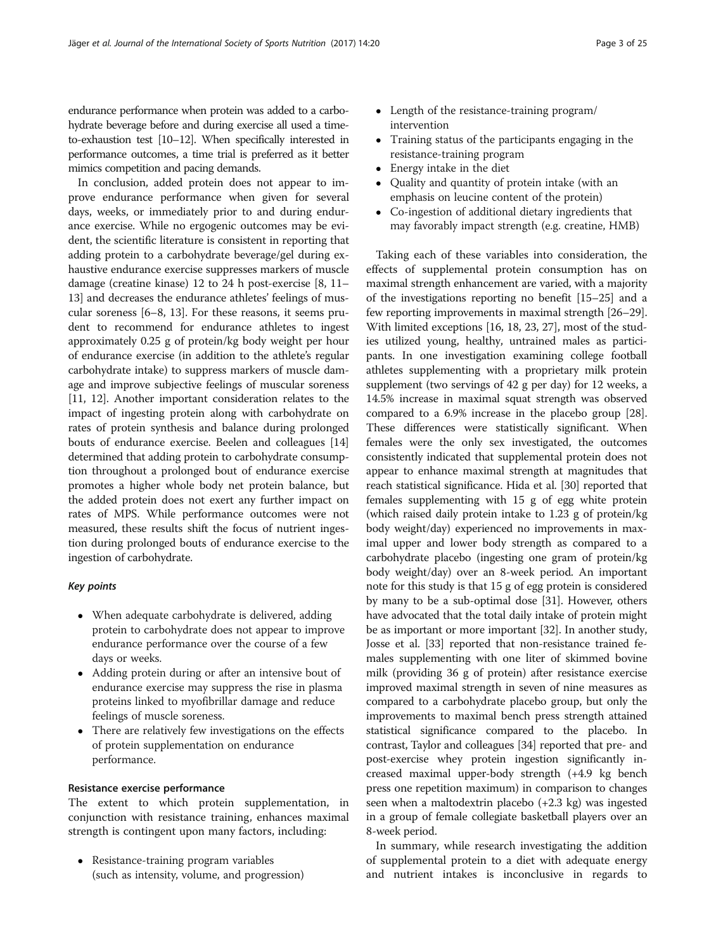endurance performance when protein was added to a carbohydrate beverage before and during exercise all used a timeto-exhaustion test [\[10](#page-22-0)–[12](#page-22-0)]. When specifically interested in performance outcomes, a time trial is preferred as it better mimics competition and pacing demands.

In conclusion, added protein does not appear to improve endurance performance when given for several days, weeks, or immediately prior to and during endurance exercise. While no ergogenic outcomes may be evident, the scientific literature is consistent in reporting that adding protein to a carbohydrate beverage/gel during exhaustive endurance exercise suppresses markers of muscle damage (creatine kinase) 12 to 24 h post-exercise [[8, 11](#page-22-0)– [13](#page-22-0)] and decreases the endurance athletes' feelings of muscular soreness [\[6](#page-21-0)–[8, 13\]](#page-22-0). For these reasons, it seems prudent to recommend for endurance athletes to ingest approximately 0.25 g of protein/kg body weight per hour of endurance exercise (in addition to the athlete's regular carbohydrate intake) to suppress markers of muscle damage and improve subjective feelings of muscular soreness [[11](#page-22-0), [12](#page-22-0)]. Another important consideration relates to the impact of ingesting protein along with carbohydrate on rates of protein synthesis and balance during prolonged bouts of endurance exercise. Beelen and colleagues [[14](#page-22-0)] determined that adding protein to carbohydrate consumption throughout a prolonged bout of endurance exercise promotes a higher whole body net protein balance, but the added protein does not exert any further impact on rates of MPS. While performance outcomes were not measured, these results shift the focus of nutrient ingestion during prolonged bouts of endurance exercise to the ingestion of carbohydrate.

#### Key points

- When adequate carbohydrate is delivered, adding protein to carbohydrate does not appear to improve endurance performance over the course of a few days or weeks.
- Adding protein during or after an intensive bout of endurance exercise may suppress the rise in plasma proteins linked to myofibrillar damage and reduce feelings of muscle soreness.
- There are relatively few investigations on the effects of protein supplementation on endurance performance.

#### Resistance exercise performance

The extent to which protein supplementation, in conjunction with resistance training, enhances maximal strength is contingent upon many factors, including:

 Resistance-training program variables (such as intensity, volume, and progression)

- Length of the resistance-training program/ intervention
- Training status of the participants engaging in the resistance-training program
- Energy intake in the diet
- Quality and quantity of protein intake (with an emphasis on leucine content of the protein)
- Co-ingestion of additional dietary ingredients that may favorably impact strength (e.g. creatine, HMB)

Taking each of these variables into consideration, the effects of supplemental protein consumption has on maximal strength enhancement are varied, with a majority of the investigations reporting no benefit [[15](#page-22-0)–[25\]](#page-22-0) and a few reporting improvements in maximal strength [\[26](#page-22-0)–[29](#page-22-0)]. With limited exceptions [\[16](#page-22-0), [18, 23](#page-22-0), [27\]](#page-22-0), most of the studies utilized young, healthy, untrained males as participants. In one investigation examining college football athletes supplementing with a proprietary milk protein supplement (two servings of 42 g per day) for 12 weeks, a 14.5% increase in maximal squat strength was observed compared to a 6.9% increase in the placebo group [[28](#page-22-0)]. These differences were statistically significant. When females were the only sex investigated, the outcomes consistently indicated that supplemental protein does not appear to enhance maximal strength at magnitudes that reach statistical significance. Hida et al. [[30](#page-22-0)] reported that females supplementing with 15 g of egg white protein (which raised daily protein intake to 1.23 g of protein/kg body weight/day) experienced no improvements in maximal upper and lower body strength as compared to a carbohydrate placebo (ingesting one gram of protein/kg body weight/day) over an 8-week period. An important note for this study is that 15 g of egg protein is considered by many to be a sub-optimal dose [[31](#page-22-0)]. However, others have advocated that the total daily intake of protein might be as important or more important [\[32\]](#page-22-0). In another study, Josse et al. [[33\]](#page-22-0) reported that non-resistance trained females supplementing with one liter of skimmed bovine milk (providing 36 g of protein) after resistance exercise improved maximal strength in seven of nine measures as compared to a carbohydrate placebo group, but only the improvements to maximal bench press strength attained statistical significance compared to the placebo. In contrast, Taylor and colleagues [[34](#page-22-0)] reported that pre- and post-exercise whey protein ingestion significantly increased maximal upper-body strength (+4.9 kg bench press one repetition maximum) in comparison to changes seen when a maltodextrin placebo (+2.3 kg) was ingested in a group of female collegiate basketball players over an 8-week period.

In summary, while research investigating the addition of supplemental protein to a diet with adequate energy and nutrient intakes is inconclusive in regards to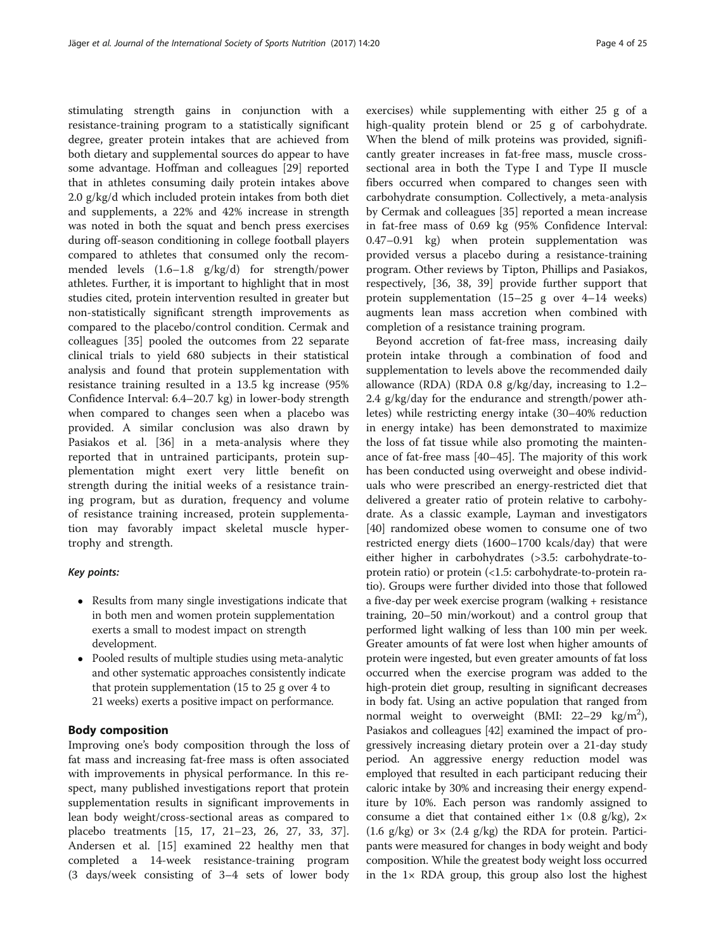stimulating strength gains in conjunction with a resistance-training program to a statistically significant degree, greater protein intakes that are achieved from both dietary and supplemental sources do appear to have some advantage. Hoffman and colleagues [\[29](#page-22-0)] reported that in athletes consuming daily protein intakes above 2.0 g/kg/d which included protein intakes from both diet and supplements, a 22% and 42% increase in strength was noted in both the squat and bench press exercises during off-season conditioning in college football players compared to athletes that consumed only the recommended levels (1.6–1.8 g/kg/d) for strength/power athletes. Further, it is important to highlight that in most studies cited, protein intervention resulted in greater but non-statistically significant strength improvements as compared to the placebo/control condition. Cermak and colleagues [\[35\]](#page-22-0) pooled the outcomes from 22 separate clinical trials to yield 680 subjects in their statistical analysis and found that protein supplementation with resistance training resulted in a 13.5 kg increase (95% Confidence Interval: 6.4–20.7 kg) in lower-body strength when compared to changes seen when a placebo was provided. A similar conclusion was also drawn by Pasiakos et al. [[36](#page-22-0)] in a meta-analysis where they reported that in untrained participants, protein supplementation might exert very little benefit on strength during the initial weeks of a resistance training program, but as duration, frequency and volume of resistance training increased, protein supplementation may favorably impact skeletal muscle hypertrophy and strength.

#### Key points:

- Results from many single investigations indicate that in both men and women protein supplementation exerts a small to modest impact on strength development.
- Pooled results of multiple studies using meta-analytic and other systematic approaches consistently indicate that protein supplementation (15 to 25 g over 4 to 21 weeks) exerts a positive impact on performance.

#### Body composition

Improving one's body composition through the loss of fat mass and increasing fat-free mass is often associated with improvements in physical performance. In this respect, many published investigations report that protein supplementation results in significant improvements in lean body weight/cross-sectional areas as compared to placebo treatments [\[15](#page-22-0), [17, 21](#page-22-0)–[23, 26](#page-22-0), [27](#page-22-0), [33, 37](#page-22-0)]. Andersen et al. [\[15](#page-22-0)] examined 22 healthy men that completed a 14-week resistance-training program (3 days/week consisting of 3–4 sets of lower body

exercises) while supplementing with either 25 g of a high-quality protein blend or 25 g of carbohydrate. When the blend of milk proteins was provided, significantly greater increases in fat-free mass, muscle crosssectional area in both the Type I and Type II muscle fibers occurred when compared to changes seen with carbohydrate consumption. Collectively, a meta-analysis by Cermak and colleagues [[35](#page-22-0)] reported a mean increase in fat-free mass of 0.69 kg (95% Confidence Interval: 0.47–0.91 kg) when protein supplementation was provided versus a placebo during a resistance-training program. Other reviews by Tipton, Phillips and Pasiakos, respectively, [[36, 38, 39](#page-22-0)] provide further support that protein supplementation (15–25 g over 4–14 weeks) augments lean mass accretion when combined with completion of a resistance training program.

Beyond accretion of fat-free mass, increasing daily protein intake through a combination of food and supplementation to levels above the recommended daily allowance (RDA) (RDA 0.8 g/kg/day, increasing to 1.2– 2.4 g/kg/day for the endurance and strength/power athletes) while restricting energy intake (30–40% reduction in energy intake) has been demonstrated to maximize the loss of fat tissue while also promoting the maintenance of fat-free mass [\[40](#page-22-0)–[45\]](#page-22-0). The majority of this work has been conducted using overweight and obese individuals who were prescribed an energy-restricted diet that delivered a greater ratio of protein relative to carbohydrate. As a classic example, Layman and investigators [[40\]](#page-22-0) randomized obese women to consume one of two restricted energy diets (1600–1700 kcals/day) that were either higher in carbohydrates (>3.5: carbohydrate-toprotein ratio) or protein (<1.5: carbohydrate-to-protein ratio). Groups were further divided into those that followed a five-day per week exercise program (walking + resistance training, 20–50 min/workout) and a control group that performed light walking of less than 100 min per week. Greater amounts of fat were lost when higher amounts of protein were ingested, but even greater amounts of fat loss occurred when the exercise program was added to the high-protein diet group, resulting in significant decreases in body fat. Using an active population that ranged from normal weight to overweight (BMI:  $22-29$  kg/m<sup>2</sup>), Pasiakos and colleagues [\[42](#page-22-0)] examined the impact of progressively increasing dietary protein over a 21-day study period. An aggressive energy reduction model was employed that resulted in each participant reducing their caloric intake by 30% and increasing their energy expenditure by 10%. Each person was randomly assigned to consume a diet that contained either  $1 \times$  (0.8 g/kg),  $2 \times$  $(1.6 \text{ g/kg})$  or  $3 \times (2.4 \text{ g/kg})$  the RDA for protein. Participants were measured for changes in body weight and body composition. While the greatest body weight loss occurred in the  $1 \times$  RDA group, this group also lost the highest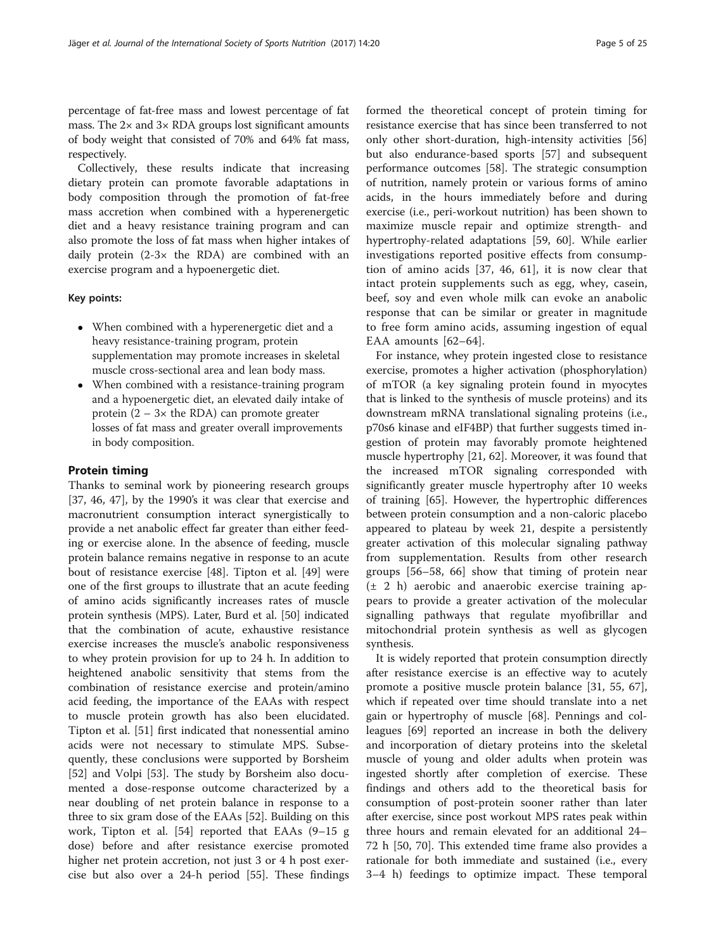percentage of fat-free mass and lowest percentage of fat mass. The  $2\times$  and  $3\times$  RDA groups lost significant amounts of body weight that consisted of 70% and 64% fat mass, respectively.

Collectively, these results indicate that increasing dietary protein can promote favorable adaptations in body composition through the promotion of fat-free mass accretion when combined with a hyperenergetic diet and a heavy resistance training program and can also promote the loss of fat mass when higher intakes of daily protein (2-3× the RDA) are combined with an exercise program and a hypoenergetic diet.

#### Key points:

- When combined with a hyperenergetic diet and a heavy resistance-training program, protein supplementation may promote increases in skeletal muscle cross-sectional area and lean body mass.
- When combined with a resistance-training program and a hypoenergetic diet, an elevated daily intake of protein  $(2 - 3x)$  the RDA) can promote greater losses of fat mass and greater overall improvements in body composition.

#### Protein timing

Thanks to seminal work by pioneering research groups [[37, 46](#page-22-0), [47](#page-22-0)], by the 1990's it was clear that exercise and macronutrient consumption interact synergistically to provide a net anabolic effect far greater than either feeding or exercise alone. In the absence of feeding, muscle protein balance remains negative in response to an acute bout of resistance exercise [\[48\]](#page-22-0). Tipton et al. [\[49](#page-22-0)] were one of the first groups to illustrate that an acute feeding of amino acids significantly increases rates of muscle protein synthesis (MPS). Later, Burd et al. [[50\]](#page-22-0) indicated that the combination of acute, exhaustive resistance exercise increases the muscle's anabolic responsiveness to whey protein provision for up to 24 h. In addition to heightened anabolic sensitivity that stems from the combination of resistance exercise and protein/amino acid feeding, the importance of the EAAs with respect to muscle protein growth has also been elucidated. Tipton et al. [[51\]](#page-23-0) first indicated that nonessential amino acids were not necessary to stimulate MPS. Subsequently, these conclusions were supported by Borsheim [[52\]](#page-23-0) and Volpi [\[53](#page-23-0)]. The study by Borsheim also documented a dose-response outcome characterized by a near doubling of net protein balance in response to a three to six gram dose of the EAAs [\[52](#page-23-0)]. Building on this work, Tipton et al. [\[54\]](#page-23-0) reported that EAAs (9–15 g dose) before and after resistance exercise promoted higher net protein accretion, not just 3 or 4 h post exercise but also over a 24-h period [\[55\]](#page-23-0). These findings formed the theoretical concept of protein timing for resistance exercise that has since been transferred to not only other short-duration, high-intensity activities [[56](#page-23-0)] but also endurance-based sports [[57](#page-23-0)] and subsequent performance outcomes [\[58](#page-23-0)]. The strategic consumption of nutrition, namely protein or various forms of amino acids, in the hours immediately before and during exercise (i.e., peri-workout nutrition) has been shown to maximize muscle repair and optimize strength- and hypertrophy-related adaptations [\[59, 60\]](#page-23-0). While earlier investigations reported positive effects from consumption of amino acids [[37, 46,](#page-22-0) [61\]](#page-23-0), it is now clear that intact protein supplements such as egg, whey, casein, beef, soy and even whole milk can evoke an anabolic response that can be similar or greater in magnitude to free form amino acids, assuming ingestion of equal EAA amounts [[62](#page-23-0)–[64\]](#page-23-0).

For instance, whey protein ingested close to resistance exercise, promotes a higher activation (phosphorylation) of mTOR (a key signaling protein found in myocytes that is linked to the synthesis of muscle proteins) and its downstream mRNA translational signaling proteins (i.e., p70s6 kinase and eIF4BP) that further suggests timed ingestion of protein may favorably promote heightened muscle hypertrophy [\[21,](#page-22-0) [62\]](#page-23-0). Moreover, it was found that the increased mTOR signaling corresponded with significantly greater muscle hypertrophy after 10 weeks of training [\[65](#page-23-0)]. However, the hypertrophic differences between protein consumption and a non-caloric placebo appeared to plateau by week 21, despite a persistently greater activation of this molecular signaling pathway from supplementation. Results from other research groups [\[56](#page-23-0)–[58](#page-23-0), [66](#page-23-0)] show that timing of protein near (± 2 h) aerobic and anaerobic exercise training appears to provide a greater activation of the molecular signalling pathways that regulate myofibrillar and mitochondrial protein synthesis as well as glycogen synthesis.

It is widely reported that protein consumption directly after resistance exercise is an effective way to acutely promote a positive muscle protein balance [\[31](#page-22-0), [55](#page-23-0), [67](#page-23-0)], which if repeated over time should translate into a net gain or hypertrophy of muscle [\[68](#page-23-0)]. Pennings and colleagues [\[69](#page-23-0)] reported an increase in both the delivery and incorporation of dietary proteins into the skeletal muscle of young and older adults when protein was ingested shortly after completion of exercise. These findings and others add to the theoretical basis for consumption of post-protein sooner rather than later after exercise, since post workout MPS rates peak within three hours and remain elevated for an additional 24– 72 h [\[50](#page-22-0), [70\]](#page-23-0). This extended time frame also provides a rationale for both immediate and sustained (i.e., every 3–4 h) feedings to optimize impact. These temporal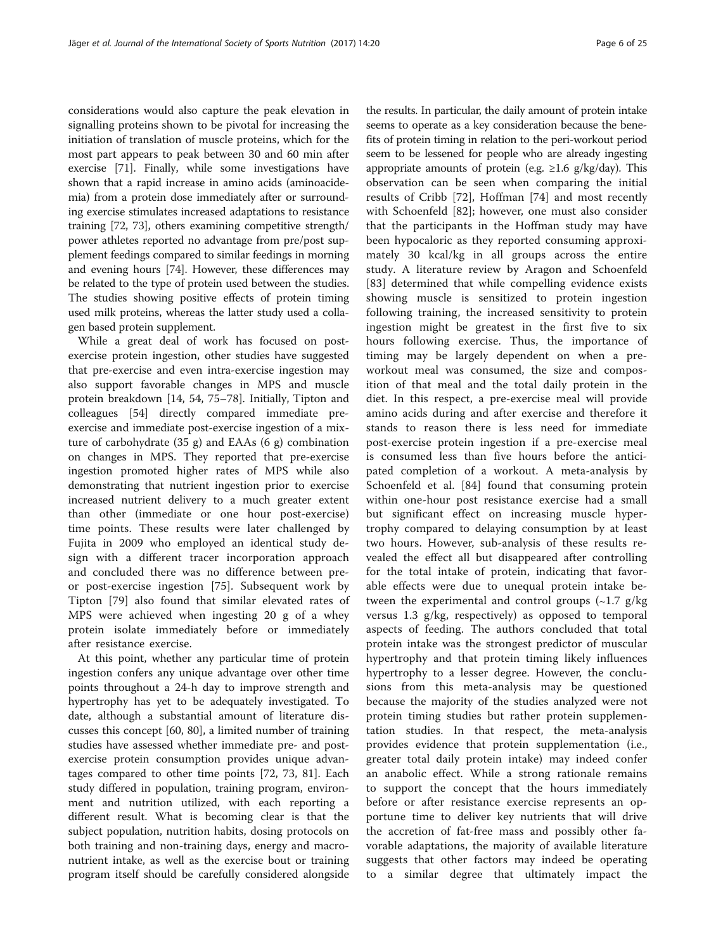considerations would also capture the peak elevation in signalling proteins shown to be pivotal for increasing the initiation of translation of muscle proteins, which for the most part appears to peak between 30 and 60 min after exercise [\[71\]](#page-23-0). Finally, while some investigations have shown that a rapid increase in amino acids (aminoacidemia) from a protein dose immediately after or surrounding exercise stimulates increased adaptations to resistance training [[72](#page-23-0), [73](#page-23-0)], others examining competitive strength/ power athletes reported no advantage from pre/post supplement feedings compared to similar feedings in morning and evening hours [\[74\]](#page-23-0). However, these differences may be related to the type of protein used between the studies. The studies showing positive effects of protein timing used milk proteins, whereas the latter study used a collagen based protein supplement.

While a great deal of work has focused on postexercise protein ingestion, other studies have suggested that pre-exercise and even intra-exercise ingestion may also support favorable changes in MPS and muscle protein breakdown [[14,](#page-22-0) [54](#page-23-0), [75](#page-23-0)–[78\]](#page-23-0). Initially, Tipton and colleagues [\[54](#page-23-0)] directly compared immediate preexercise and immediate post-exercise ingestion of a mixture of carbohydrate (35 g) and EAAs (6 g) combination on changes in MPS. They reported that pre-exercise ingestion promoted higher rates of MPS while also demonstrating that nutrient ingestion prior to exercise increased nutrient delivery to a much greater extent than other (immediate or one hour post-exercise) time points. These results were later challenged by Fujita in 2009 who employed an identical study design with a different tracer incorporation approach and concluded there was no difference between preor post-exercise ingestion [[75\]](#page-23-0). Subsequent work by Tipton [[79\]](#page-23-0) also found that similar elevated rates of MPS were achieved when ingesting 20 g of a whey protein isolate immediately before or immediately after resistance exercise.

At this point, whether any particular time of protein ingestion confers any unique advantage over other time points throughout a 24-h day to improve strength and hypertrophy has yet to be adequately investigated. To date, although a substantial amount of literature discusses this concept [[60, 80\]](#page-23-0), a limited number of training studies have assessed whether immediate pre- and postexercise protein consumption provides unique advantages compared to other time points [\[72](#page-23-0), [73](#page-23-0), [81](#page-23-0)]. Each study differed in population, training program, environment and nutrition utilized, with each reporting a different result. What is becoming clear is that the subject population, nutrition habits, dosing protocols on both training and non-training days, energy and macronutrient intake, as well as the exercise bout or training program itself should be carefully considered alongside

the results. In particular, the daily amount of protein intake seems to operate as a key consideration because the benefits of protein timing in relation to the peri-workout period seem to be lessened for people who are already ingesting appropriate amounts of protein (e.g.  $\geq 1.6$  g/kg/day). This observation can be seen when comparing the initial results of Cribb [[72\]](#page-23-0), Hoffman [[74\]](#page-23-0) and most recently with Schoenfeld [[82\]](#page-23-0); however, one must also consider that the participants in the Hoffman study may have been hypocaloric as they reported consuming approximately 30 kcal/kg in all groups across the entire study. A literature review by Aragon and Schoenfeld [[83\]](#page-23-0) determined that while compelling evidence exists showing muscle is sensitized to protein ingestion following training, the increased sensitivity to protein ingestion might be greatest in the first five to six hours following exercise. Thus, the importance of timing may be largely dependent on when a preworkout meal was consumed, the size and composition of that meal and the total daily protein in the diet. In this respect, a pre-exercise meal will provide amino acids during and after exercise and therefore it stands to reason there is less need for immediate post-exercise protein ingestion if a pre-exercise meal is consumed less than five hours before the anticipated completion of a workout. A meta-analysis by Schoenfeld et al. [[84](#page-23-0)] found that consuming protein within one-hour post resistance exercise had a small but significant effect on increasing muscle hypertrophy compared to delaying consumption by at least two hours. However, sub-analysis of these results revealed the effect all but disappeared after controlling for the total intake of protein, indicating that favorable effects were due to unequal protein intake between the experimental and control groups (∼1.7 g/kg versus 1.3 g/kg, respectively) as opposed to temporal aspects of feeding. The authors concluded that total protein intake was the strongest predictor of muscular hypertrophy and that protein timing likely influences hypertrophy to a lesser degree. However, the conclusions from this meta-analysis may be questioned because the majority of the studies analyzed were not protein timing studies but rather protein supplementation studies. In that respect, the meta-analysis provides evidence that protein supplementation (i.e., greater total daily protein intake) may indeed confer an anabolic effect. While a strong rationale remains to support the concept that the hours immediately before or after resistance exercise represents an opportune time to deliver key nutrients that will drive the accretion of fat-free mass and possibly other favorable adaptations, the majority of available literature suggests that other factors may indeed be operating to a similar degree that ultimately impact the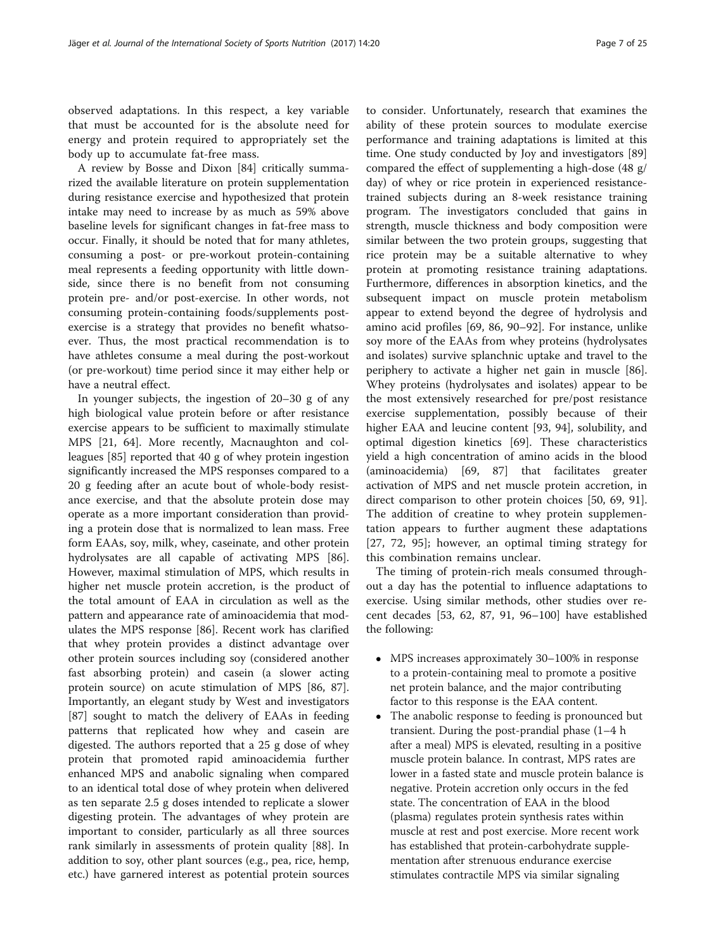observed adaptations. In this respect, a key variable that must be accounted for is the absolute need for energy and protein required to appropriately set the body up to accumulate fat-free mass.

A review by Bosse and Dixon [[84](#page-23-0)] critically summarized the available literature on protein supplementation during resistance exercise and hypothesized that protein intake may need to increase by as much as 59% above baseline levels for significant changes in fat-free mass to occur. Finally, it should be noted that for many athletes, consuming a post- or pre-workout protein-containing meal represents a feeding opportunity with little downside, since there is no benefit from not consuming protein pre- and/or post-exercise. In other words, not consuming protein-containing foods/supplements postexercise is a strategy that provides no benefit whatsoever. Thus, the most practical recommendation is to have athletes consume a meal during the post-workout (or pre-workout) time period since it may either help or have a neutral effect.

In younger subjects, the ingestion of 20–30 g of any high biological value protein before or after resistance exercise appears to be sufficient to maximally stimulate MPS [\[21,](#page-22-0) [64\]](#page-23-0). More recently, Macnaughton and colleagues [\[85](#page-23-0)] reported that 40 g of whey protein ingestion significantly increased the MPS responses compared to a 20 g feeding after an acute bout of whole-body resistance exercise, and that the absolute protein dose may operate as a more important consideration than providing a protein dose that is normalized to lean mass. Free form EAAs, soy, milk, whey, caseinate, and other protein hydrolysates are all capable of activating MPS [\[86](#page-23-0)]. However, maximal stimulation of MPS, which results in higher net muscle protein accretion, is the product of the total amount of EAA in circulation as well as the pattern and appearance rate of aminoacidemia that modulates the MPS response [\[86](#page-23-0)]. Recent work has clarified that whey protein provides a distinct advantage over other protein sources including soy (considered another fast absorbing protein) and casein (a slower acting protein source) on acute stimulation of MPS [[86](#page-23-0), [87](#page-23-0)]. Importantly, an elegant study by West and investigators [[87\]](#page-23-0) sought to match the delivery of EAAs in feeding patterns that replicated how whey and casein are digested. The authors reported that a 25 g dose of whey protein that promoted rapid aminoacidemia further enhanced MPS and anabolic signaling when compared to an identical total dose of whey protein when delivered as ten separate 2.5 g doses intended to replicate a slower digesting protein. The advantages of whey protein are important to consider, particularly as all three sources rank similarly in assessments of protein quality [[88\]](#page-23-0). In addition to soy, other plant sources (e.g., pea, rice, hemp, etc.) have garnered interest as potential protein sources

to consider. Unfortunately, research that examines the ability of these protein sources to modulate exercise performance and training adaptations is limited at this time. One study conducted by Joy and investigators [[89](#page-23-0)] compared the effect of supplementing a high-dose (48 g/ day) of whey or rice protein in experienced resistancetrained subjects during an 8-week resistance training program. The investigators concluded that gains in strength, muscle thickness and body composition were similar between the two protein groups, suggesting that rice protein may be a suitable alternative to whey protein at promoting resistance training adaptations. Furthermore, differences in absorption kinetics, and the subsequent impact on muscle protein metabolism appear to extend beyond the degree of hydrolysis and amino acid profiles [\[69, 86](#page-23-0), [90](#page-23-0)–[92\]](#page-23-0). For instance, unlike soy more of the EAAs from whey proteins (hydrolysates and isolates) survive splanchnic uptake and travel to the periphery to activate a higher net gain in muscle [\[86](#page-23-0)]. Whey proteins (hydrolysates and isolates) appear to be the most extensively researched for pre/post resistance exercise supplementation, possibly because of their higher EAA and leucine content [[93](#page-23-0), [94\]](#page-24-0), solubility, and optimal digestion kinetics [\[69](#page-23-0)]. These characteristics yield a high concentration of amino acids in the blood (aminoacidemia) [[69, 87\]](#page-23-0) that facilitates greater activation of MPS and net muscle protein accretion, in direct comparison to other protein choices [[50,](#page-22-0) [69](#page-23-0), [91](#page-23-0)]. The addition of creatine to whey protein supplementation appears to further augment these adaptations [[27,](#page-22-0) [72](#page-23-0), [95\]](#page-24-0); however, an optimal timing strategy for this combination remains unclear.

The timing of protein-rich meals consumed throughout a day has the potential to influence adaptations to exercise. Using similar methods, other studies over recent decades [\[53](#page-23-0), [62, 87](#page-23-0), [91,](#page-23-0) [96](#page-24-0)–[100](#page-24-0)] have established the following:

- MPS increases approximately 30–100% in response to a protein-containing meal to promote a positive net protein balance, and the major contributing factor to this response is the EAA content.
- The anabolic response to feeding is pronounced but transient. During the post-prandial phase (1–4 h after a meal) MPS is elevated, resulting in a positive muscle protein balance. In contrast, MPS rates are lower in a fasted state and muscle protein balance is negative. Protein accretion only occurs in the fed state. The concentration of EAA in the blood (plasma) regulates protein synthesis rates within muscle at rest and post exercise. More recent work has established that protein-carbohydrate supplementation after strenuous endurance exercise stimulates contractile MPS via similar signaling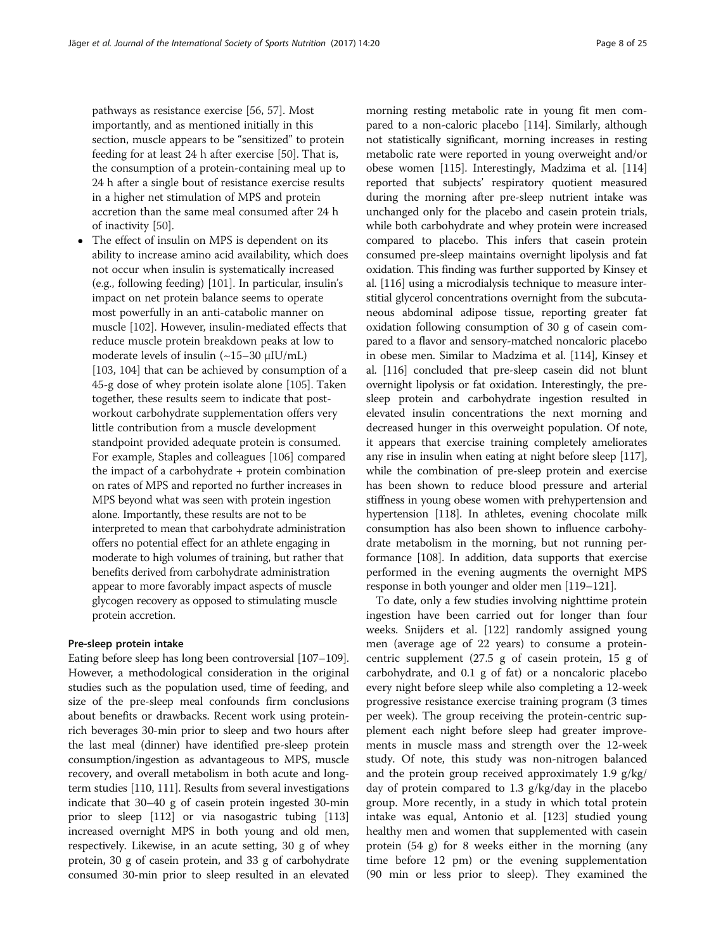pathways as resistance exercise [[56](#page-23-0), [57](#page-23-0)]. Most importantly, and as mentioned initially in this section, muscle appears to be "sensitized" to protein feeding for at least 24 h after exercise [[50\]](#page-22-0). That is, the consumption of a protein-containing meal up to 24 h after a single bout of resistance exercise results in a higher net stimulation of MPS and protein accretion than the same meal consumed after 24 h of inactivity [\[50\]](#page-22-0).

• The effect of insulin on MPS is dependent on its ability to increase amino acid availability, which does not occur when insulin is systematically increased (e.g., following feeding) [\[101\]](#page-24-0). In particular, insulin's impact on net protein balance seems to operate most powerfully in an anti-catabolic manner on muscle [[102](#page-24-0)]. However, insulin-mediated effects that reduce muscle protein breakdown peaks at low to moderate levels of insulin (~15–30 μIU/mL) [[103](#page-24-0), [104\]](#page-24-0) that can be achieved by consumption of a 45-g dose of whey protein isolate alone [\[105\]](#page-24-0). Taken together, these results seem to indicate that postworkout carbohydrate supplementation offers very little contribution from a muscle development standpoint provided adequate protein is consumed. For example, Staples and colleagues [[106](#page-24-0)] compared the impact of a carbohydrate + protein combination on rates of MPS and reported no further increases in MPS beyond what was seen with protein ingestion alone. Importantly, these results are not to be interpreted to mean that carbohydrate administration offers no potential effect for an athlete engaging in moderate to high volumes of training, but rather that benefits derived from carbohydrate administration appear to more favorably impact aspects of muscle glycogen recovery as opposed to stimulating muscle protein accretion.

#### Pre-sleep protein intake

Eating before sleep has long been controversial [[107](#page-24-0)–[109](#page-24-0)]. However, a methodological consideration in the original studies such as the population used, time of feeding, and size of the pre-sleep meal confounds firm conclusions about benefits or drawbacks. Recent work using proteinrich beverages 30-min prior to sleep and two hours after the last meal (dinner) have identified pre-sleep protein consumption/ingestion as advantageous to MPS, muscle recovery, and overall metabolism in both acute and longterm studies [[110](#page-24-0), [111](#page-24-0)]. Results from several investigations indicate that 30–40 g of casein protein ingested 30-min prior to sleep [[112](#page-24-0)] or via nasogastric tubing [\[113](#page-24-0)] increased overnight MPS in both young and old men, respectively. Likewise, in an acute setting, 30 g of whey protein, 30 g of casein protein, and 33 g of carbohydrate consumed 30-min prior to sleep resulted in an elevated morning resting metabolic rate in young fit men compared to a non-caloric placebo [[114](#page-24-0)]. Similarly, although not statistically significant, morning increases in resting metabolic rate were reported in young overweight and/or obese women [\[115\]](#page-24-0). Interestingly, Madzima et al. [\[114](#page-24-0)] reported that subjects' respiratory quotient measured during the morning after pre-sleep nutrient intake was unchanged only for the placebo and casein protein trials, while both carbohydrate and whey protein were increased compared to placebo. This infers that casein protein consumed pre-sleep maintains overnight lipolysis and fat oxidation. This finding was further supported by Kinsey et al. [[116](#page-24-0)] using a microdialysis technique to measure interstitial glycerol concentrations overnight from the subcutaneous abdominal adipose tissue, reporting greater fat oxidation following consumption of 30 g of casein compared to a flavor and sensory-matched noncaloric placebo in obese men. Similar to Madzima et al. [[114](#page-24-0)], Kinsey et al. [[116](#page-24-0)] concluded that pre-sleep casein did not blunt overnight lipolysis or fat oxidation. Interestingly, the presleep protein and carbohydrate ingestion resulted in elevated insulin concentrations the next morning and decreased hunger in this overweight population. Of note, it appears that exercise training completely ameliorates any rise in insulin when eating at night before sleep [[117](#page-24-0)], while the combination of pre-sleep protein and exercise has been shown to reduce blood pressure and arterial stiffness in young obese women with prehypertension and hypertension [[118](#page-24-0)]. In athletes, evening chocolate milk consumption has also been shown to influence carbohydrate metabolism in the morning, but not running performance [[108](#page-24-0)]. In addition, data supports that exercise performed in the evening augments the overnight MPS response in both younger and older men [\[119](#page-24-0)–[121\]](#page-24-0).

To date, only a few studies involving nighttime protein ingestion have been carried out for longer than four weeks. Snijders et al. [[122\]](#page-24-0) randomly assigned young men (average age of 22 years) to consume a proteincentric supplement (27.5 g of casein protein, 15 g of carbohydrate, and 0.1 g of fat) or a noncaloric placebo every night before sleep while also completing a 12-week progressive resistance exercise training program (3 times per week). The group receiving the protein-centric supplement each night before sleep had greater improvements in muscle mass and strength over the 12-week study. Of note, this study was non-nitrogen balanced and the protein group received approximately 1.9 g/kg/ day of protein compared to 1.3 g/kg/day in the placebo group. More recently, in a study in which total protein intake was equal, Antonio et al. [\[123\]](#page-24-0) studied young healthy men and women that supplemented with casein protein (54 g) for 8 weeks either in the morning (any time before 12 pm) or the evening supplementation (90 min or less prior to sleep). They examined the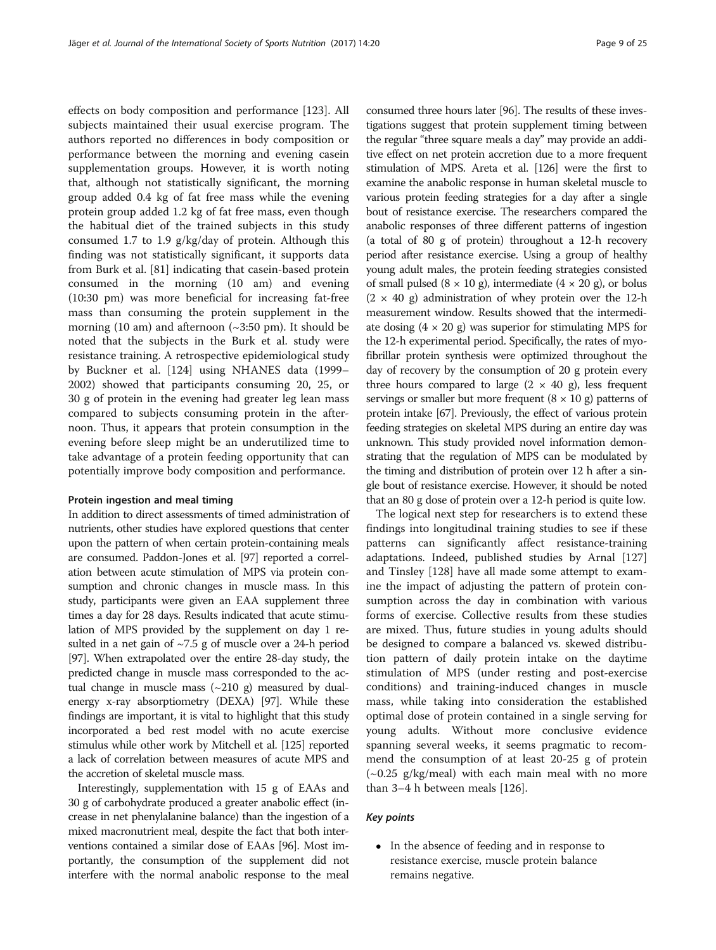effects on body composition and performance [[123\]](#page-24-0). All subjects maintained their usual exercise program. The authors reported no differences in body composition or performance between the morning and evening casein supplementation groups. However, it is worth noting that, although not statistically significant, the morning group added 0.4 kg of fat free mass while the evening protein group added 1.2 kg of fat free mass, even though the habitual diet of the trained subjects in this study consumed 1.7 to 1.9 g/kg/day of protein. Although this finding was not statistically significant, it supports data from Burk et al. [[81\]](#page-23-0) indicating that casein-based protein consumed in the morning (10 am) and evening (10:30 pm) was more beneficial for increasing fat-free mass than consuming the protein supplement in the morning (10 am) and afternoon (~3:50 pm). It should be noted that the subjects in the Burk et al. study were resistance training. A retrospective epidemiological study by Buckner et al. [\[124](#page-24-0)] using NHANES data (1999– 2002) showed that participants consuming 20, 25, or 30 g of protein in the evening had greater leg lean mass compared to subjects consuming protein in the afternoon. Thus, it appears that protein consumption in the evening before sleep might be an underutilized time to take advantage of a protein feeding opportunity that can potentially improve body composition and performance.

#### Protein ingestion and meal timing

In addition to direct assessments of timed administration of nutrients, other studies have explored questions that center upon the pattern of when certain protein-containing meals are consumed. Paddon-Jones et al. [\[97](#page-24-0)] reported a correlation between acute stimulation of MPS via protein consumption and chronic changes in muscle mass. In this study, participants were given an EAA supplement three times a day for 28 days. Results indicated that acute stimulation of MPS provided by the supplement on day 1 resulted in a net gain of  $\sim$ 7.5 g of muscle over a 24-h period [[97](#page-24-0)]. When extrapolated over the entire 28-day study, the predicted change in muscle mass corresponded to the actual change in muscle mass  $({\sim}210 \text{ g})$  measured by dualenergy x-ray absorptiometry (DEXA) [\[97\]](#page-24-0). While these findings are important, it is vital to highlight that this study incorporated a bed rest model with no acute exercise stimulus while other work by Mitchell et al. [[125\]](#page-24-0) reported a lack of correlation between measures of acute MPS and the accretion of skeletal muscle mass.

Interestingly, supplementation with 15 g of EAAs and 30 g of carbohydrate produced a greater anabolic effect (increase in net phenylalanine balance) than the ingestion of a mixed macronutrient meal, despite the fact that both interventions contained a similar dose of EAAs [[96](#page-24-0)]. Most importantly, the consumption of the supplement did not interfere with the normal anabolic response to the meal

consumed three hours later [\[96\]](#page-24-0). The results of these investigations suggest that protein supplement timing between the regular "three square meals a day" may provide an additive effect on net protein accretion due to a more frequent stimulation of MPS. Areta et al. [[126\]](#page-24-0) were the first to examine the anabolic response in human skeletal muscle to various protein feeding strategies for a day after a single bout of resistance exercise. The researchers compared the anabolic responses of three different patterns of ingestion (a total of 80 g of protein) throughout a 12-h recovery period after resistance exercise. Using a group of healthy young adult males, the protein feeding strategies consisted of small pulsed  $(8 \times 10 \text{ g})$ , intermediate  $(4 \times 20 \text{ g})$ , or bolus  $(2 \times 40 \text{ g})$  administration of whey protein over the 12-h measurement window. Results showed that the intermediate dosing  $(4 \times 20$  g) was superior for stimulating MPS for the 12-h experimental period. Specifically, the rates of myofibrillar protein synthesis were optimized throughout the day of recovery by the consumption of 20 g protein every three hours compared to large  $(2 \times 40 \text{ g})$ , less frequent servings or smaller but more frequent  $(8 \times 10 \text{ g})$  patterns of protein intake [[67](#page-23-0)]. Previously, the effect of various protein feeding strategies on skeletal MPS during an entire day was unknown. This study provided novel information demonstrating that the regulation of MPS can be modulated by the timing and distribution of protein over 12 h after a single bout of resistance exercise. However, it should be noted that an 80 g dose of protein over a 12-h period is quite low.

The logical next step for researchers is to extend these findings into longitudinal training studies to see if these patterns can significantly affect resistance-training adaptations. Indeed, published studies by Arnal [[127](#page-24-0)] and Tinsley [\[128](#page-24-0)] have all made some attempt to examine the impact of adjusting the pattern of protein consumption across the day in combination with various forms of exercise. Collective results from these studies are mixed. Thus, future studies in young adults should be designed to compare a balanced vs. skewed distribution pattern of daily protein intake on the daytime stimulation of MPS (under resting and post-exercise conditions) and training-induced changes in muscle mass, while taking into consideration the established optimal dose of protein contained in a single serving for young adults. Without more conclusive evidence spanning several weeks, it seems pragmatic to recommend the consumption of at least 20-25 g of protein  $(-0.25 \text{ g/kg/mcal})$  with each main meal with no more than 3–4 h between meals [[126\]](#page-24-0).

#### Key points

• In the absence of feeding and in response to resistance exercise, muscle protein balance remains negative.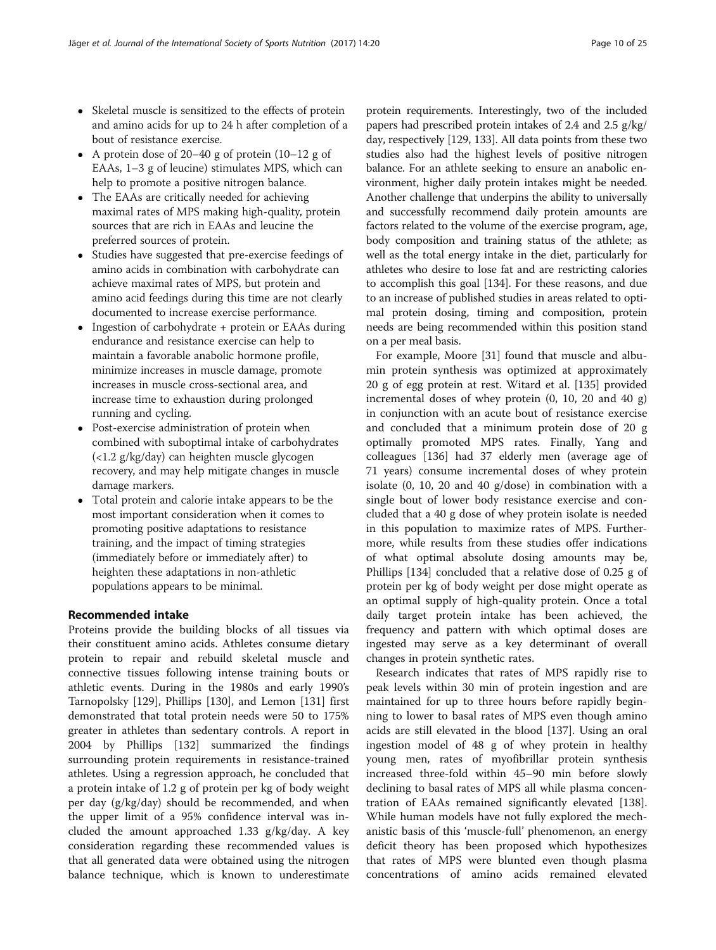- Skeletal muscle is sensitized to the effects of protein and amino acids for up to 24 h after completion of a bout of resistance exercise.
- A protein dose of 20–40 g of protein  $(10-12 \text{ g of})$ EAAs, 1–3 g of leucine) stimulates MPS, which can help to promote a positive nitrogen balance.
- The EAAs are critically needed for achieving maximal rates of MPS making high-quality, protein sources that are rich in EAAs and leucine the preferred sources of protein.
- Studies have suggested that pre-exercise feedings of amino acids in combination with carbohydrate can achieve maximal rates of MPS, but protein and amino acid feedings during this time are not clearly documented to increase exercise performance.
- Ingestion of carbohydrate + protein or EAAs during endurance and resistance exercise can help to maintain a favorable anabolic hormone profile, minimize increases in muscle damage, promote increases in muscle cross-sectional area, and increase time to exhaustion during prolonged running and cycling.
- Post-exercise administration of protein when combined with suboptimal intake of carbohydrates (<1.2 g/kg/day) can heighten muscle glycogen recovery, and may help mitigate changes in muscle damage markers.
- Total protein and calorie intake appears to be the most important consideration when it comes to promoting positive adaptations to resistance training, and the impact of timing strategies (immediately before or immediately after) to heighten these adaptations in non-athletic populations appears to be minimal.

#### Recommended intake

Proteins provide the building blocks of all tissues via their constituent amino acids. Athletes consume dietary protein to repair and rebuild skeletal muscle and connective tissues following intense training bouts or athletic events. During in the 1980s and early 1990's Tarnopolsky [[129\]](#page-24-0), Phillips [[130](#page-24-0)], and Lemon [[131\]](#page-24-0) first demonstrated that total protein needs were 50 to 175% greater in athletes than sedentary controls. A report in 2004 by Phillips [\[132\]](#page-24-0) summarized the findings surrounding protein requirements in resistance-trained athletes. Using a regression approach, he concluded that a protein intake of 1.2 g of protein per kg of body weight per day (g/kg/day) should be recommended, and when the upper limit of a 95% confidence interval was included the amount approached 1.33 g/kg/day. A key consideration regarding these recommended values is that all generated data were obtained using the nitrogen balance technique, which is known to underestimate

protein requirements. Interestingly, two of the included papers had prescribed protein intakes of 2.4 and 2.5 g/kg/ day, respectively [\[129, 133](#page-24-0)]. All data points from these two studies also had the highest levels of positive nitrogen balance. For an athlete seeking to ensure an anabolic environment, higher daily protein intakes might be needed. Another challenge that underpins the ability to universally and successfully recommend daily protein amounts are factors related to the volume of the exercise program, age, body composition and training status of the athlete; as well as the total energy intake in the diet, particularly for athletes who desire to lose fat and are restricting calories to accomplish this goal [[134](#page-24-0)]. For these reasons, and due to an increase of published studies in areas related to optimal protein dosing, timing and composition, protein needs are being recommended within this position stand on a per meal basis.

For example, Moore [[31\]](#page-22-0) found that muscle and albumin protein synthesis was optimized at approximately 20 g of egg protein at rest. Witard et al. [\[135\]](#page-24-0) provided incremental doses of whey protein (0, 10, 20 and 40 g) in conjunction with an acute bout of resistance exercise and concluded that a minimum protein dose of 20 g optimally promoted MPS rates. Finally, Yang and colleagues [\[136\]](#page-24-0) had 37 elderly men (average age of 71 years) consume incremental doses of whey protein isolate (0, 10, 20 and 40 g/dose) in combination with a single bout of lower body resistance exercise and concluded that a 40 g dose of whey protein isolate is needed in this population to maximize rates of MPS. Furthermore, while results from these studies offer indications of what optimal absolute dosing amounts may be, Phillips [\[134](#page-24-0)] concluded that a relative dose of 0.25 g of protein per kg of body weight per dose might operate as an optimal supply of high-quality protein. Once a total daily target protein intake has been achieved, the frequency and pattern with which optimal doses are ingested may serve as a key determinant of overall changes in protein synthetic rates.

Research indicates that rates of MPS rapidly rise to peak levels within 30 min of protein ingestion and are maintained for up to three hours before rapidly beginning to lower to basal rates of MPS even though amino acids are still elevated in the blood [\[137](#page-24-0)]. Using an oral ingestion model of 48 g of whey protein in healthy young men, rates of myofibrillar protein synthesis increased three-fold within 45–90 min before slowly declining to basal rates of MPS all while plasma concentration of EAAs remained significantly elevated [[138](#page-25-0)]. While human models have not fully explored the mechanistic basis of this 'muscle-full' phenomenon, an energy deficit theory has been proposed which hypothesizes that rates of MPS were blunted even though plasma concentrations of amino acids remained elevated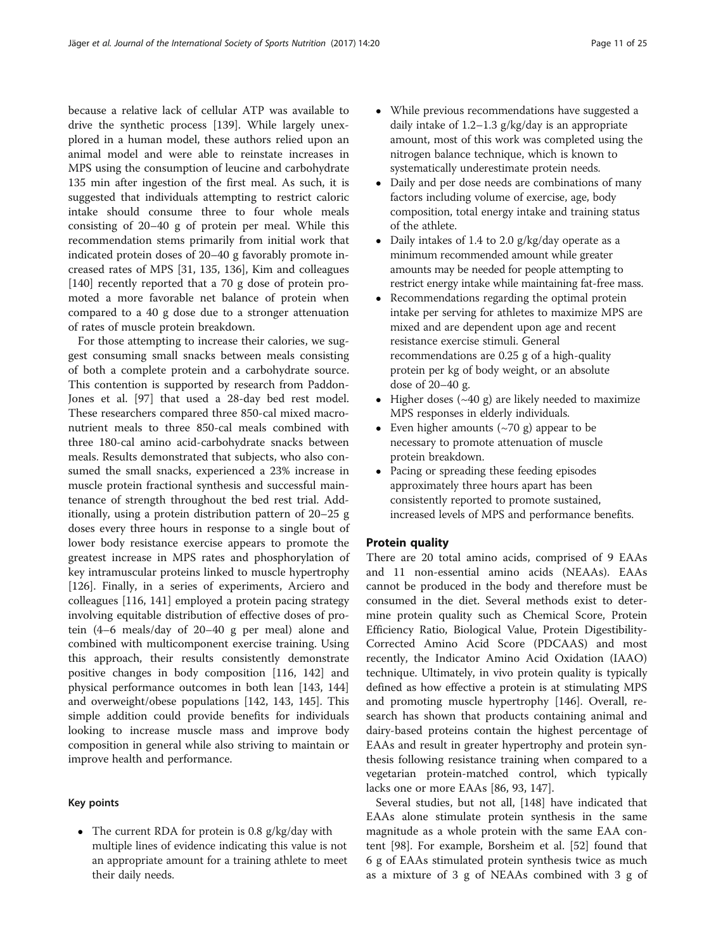because a relative lack of cellular ATP was available to drive the synthetic process [\[139](#page-25-0)]. While largely unexplored in a human model, these authors relied upon an animal model and were able to reinstate increases in MPS using the consumption of leucine and carbohydrate 135 min after ingestion of the first meal. As such, it is suggested that individuals attempting to restrict caloric intake should consume three to four whole meals consisting of 20–40 g of protein per meal. While this recommendation stems primarily from initial work that indicated protein doses of 20–40 g favorably promote increased rates of MPS [[31,](#page-22-0) [135, 136](#page-24-0)], Kim and colleagues [[140\]](#page-25-0) recently reported that a 70 g dose of protein promoted a more favorable net balance of protein when compared to a 40 g dose due to a stronger attenuation of rates of muscle protein breakdown.

For those attempting to increase their calories, we suggest consuming small snacks between meals consisting of both a complete protein and a carbohydrate source. This contention is supported by research from Paddon-Jones et al. [[97\]](#page-24-0) that used a 28-day bed rest model. These researchers compared three 850-cal mixed macronutrient meals to three 850-cal meals combined with three 180-cal amino acid-carbohydrate snacks between meals. Results demonstrated that subjects, who also consumed the small snacks, experienced a 23% increase in muscle protein fractional synthesis and successful maintenance of strength throughout the bed rest trial. Additionally, using a protein distribution pattern of 20–25 g doses every three hours in response to a single bout of lower body resistance exercise appears to promote the greatest increase in MPS rates and phosphorylation of key intramuscular proteins linked to muscle hypertrophy [[126\]](#page-24-0). Finally, in a series of experiments, Arciero and colleagues [[116](#page-24-0), [141\]](#page-25-0) employed a protein pacing strategy involving equitable distribution of effective doses of protein (4–6 meals/day of 20–40 g per meal) alone and combined with multicomponent exercise training. Using this approach, their results consistently demonstrate positive changes in body composition [[116](#page-24-0), [142\]](#page-25-0) and physical performance outcomes in both lean [[143](#page-25-0), [144](#page-25-0)] and overweight/obese populations [\[142, 143, 145\]](#page-25-0). This simple addition could provide benefits for individuals looking to increase muscle mass and improve body composition in general while also striving to maintain or improve health and performance.

#### Key points

• The current RDA for protein is 0.8 g/kg/day with multiple lines of evidence indicating this value is not an appropriate amount for a training athlete to meet their daily needs.

- While previous recommendations have suggested a daily intake of  $1.2-1.3$  g/kg/day is an appropriate amount, most of this work was completed using the nitrogen balance technique, which is known to systematically underestimate protein needs.
- Daily and per dose needs are combinations of many factors including volume of exercise, age, body composition, total energy intake and training status of the athlete.
- Daily intakes of 1.4 to 2.0 g/kg/day operate as a minimum recommended amount while greater amounts may be needed for people attempting to restrict energy intake while maintaining fat-free mass.
- Recommendations regarding the optimal protein intake per serving for athletes to maximize MPS are mixed and are dependent upon age and recent resistance exercise stimuli. General recommendations are 0.25 g of a high-quality protein per kg of body weight, or an absolute dose of 20–40 g.
- Higher doses  $({\sim}40 \text{ g})$  are likely needed to maximize MPS responses in elderly individuals.
- Even higher amounts  $(\sim 70 \text{ g})$  appear to be necessary to promote attenuation of muscle protein breakdown.
- Pacing or spreading these feeding episodes approximately three hours apart has been consistently reported to promote sustained, increased levels of MPS and performance benefits.

#### Protein quality

There are 20 total amino acids, comprised of 9 EAAs and 11 non-essential amino acids (NEAAs). EAAs cannot be produced in the body and therefore must be consumed in the diet. Several methods exist to determine protein quality such as Chemical Score, Protein Efficiency Ratio, Biological Value, Protein Digestibility-Corrected Amino Acid Score (PDCAAS) and most recently, the Indicator Amino Acid Oxidation (IAAO) technique. Ultimately, in vivo protein quality is typically defined as how effective a protein is at stimulating MPS and promoting muscle hypertrophy [[146\]](#page-25-0). Overall, research has shown that products containing animal and dairy-based proteins contain the highest percentage of EAAs and result in greater hypertrophy and protein synthesis following resistance training when compared to a vegetarian protein-matched control, which typically lacks one or more EAAs [\[86](#page-23-0), [93](#page-23-0), [147\]](#page-25-0).

Several studies, but not all, [[148\]](#page-25-0) have indicated that EAAs alone stimulate protein synthesis in the same magnitude as a whole protein with the same EAA content [\[98](#page-24-0)]. For example, Borsheim et al. [\[52](#page-23-0)] found that 6 g of EAAs stimulated protein synthesis twice as much as a mixture of 3 g of NEAAs combined with 3 g of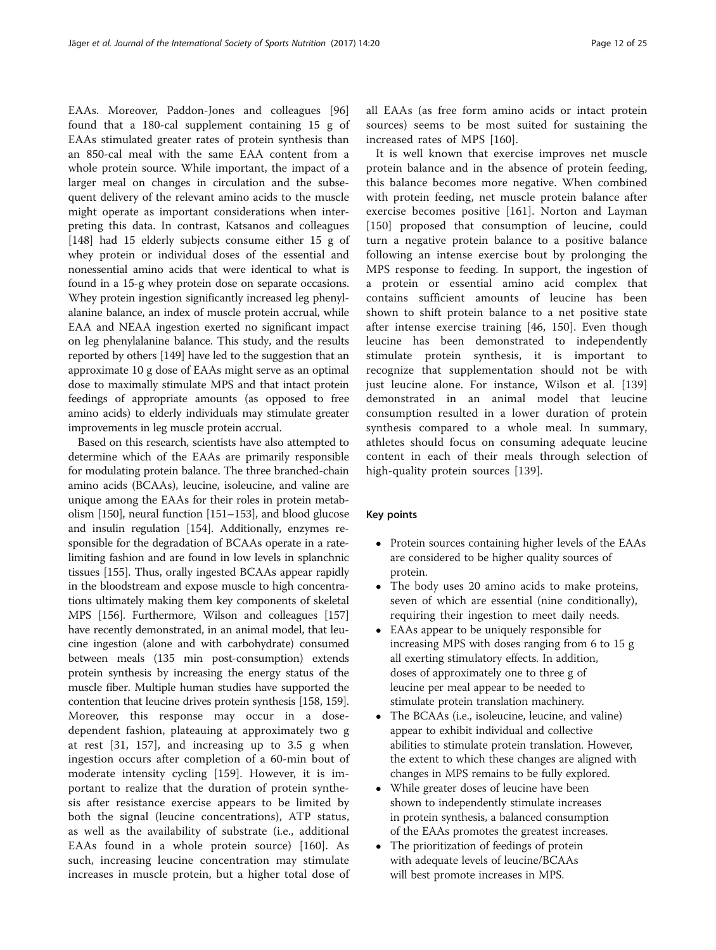EAAs. Moreover, Paddon-Jones and colleagues [[96](#page-24-0)] found that a 180-cal supplement containing 15 g of EAAs stimulated greater rates of protein synthesis than an 850-cal meal with the same EAA content from a whole protein source. While important, the impact of a larger meal on changes in circulation and the subsequent delivery of the relevant amino acids to the muscle might operate as important considerations when interpreting this data. In contrast, Katsanos and colleagues [[148\]](#page-25-0) had 15 elderly subjects consume either 15 g of whey protein or individual doses of the essential and nonessential amino acids that were identical to what is found in a 15-g whey protein dose on separate occasions. Whey protein ingestion significantly increased leg phenylalanine balance, an index of muscle protein accrual, while EAA and NEAA ingestion exerted no significant impact on leg phenylalanine balance. This study, and the results reported by others [\[149\]](#page-25-0) have led to the suggestion that an approximate 10 g dose of EAAs might serve as an optimal dose to maximally stimulate MPS and that intact protein feedings of appropriate amounts (as opposed to free amino acids) to elderly individuals may stimulate greater improvements in leg muscle protein accrual.

Based on this research, scientists have also attempted to determine which of the EAAs are primarily responsible for modulating protein balance. The three branched-chain amino acids (BCAAs), leucine, isoleucine, and valine are unique among the EAAs for their roles in protein metabolism [\[150](#page-25-0)], neural function [[151](#page-25-0)–[153](#page-25-0)], and blood glucose and insulin regulation [\[154\]](#page-25-0). Additionally, enzymes responsible for the degradation of BCAAs operate in a ratelimiting fashion and are found in low levels in splanchnic tissues [\[155\]](#page-25-0). Thus, orally ingested BCAAs appear rapidly in the bloodstream and expose muscle to high concentrations ultimately making them key components of skeletal MPS [[156](#page-25-0)]. Furthermore, Wilson and colleagues [[157](#page-25-0)] have recently demonstrated, in an animal model, that leucine ingestion (alone and with carbohydrate) consumed between meals (135 min post-consumption) extends protein synthesis by increasing the energy status of the muscle fiber. Multiple human studies have supported the contention that leucine drives protein synthesis [[158](#page-25-0), [159](#page-25-0)]. Moreover, this response may occur in a dosedependent fashion, plateauing at approximately two g at rest [[31,](#page-22-0) [157\]](#page-25-0), and increasing up to 3.5 g when ingestion occurs after completion of a 60-min bout of moderate intensity cycling [\[159](#page-25-0)]. However, it is important to realize that the duration of protein synthesis after resistance exercise appears to be limited by both the signal (leucine concentrations), ATP status, as well as the availability of substrate (i.e., additional EAAs found in a whole protein source) [[160](#page-25-0)]. As such, increasing leucine concentration may stimulate increases in muscle protein, but a higher total dose of all EAAs (as free form amino acids or intact protein sources) seems to be most suited for sustaining the increased rates of MPS [[160\]](#page-25-0).

It is well known that exercise improves net muscle protein balance and in the absence of protein feeding, this balance becomes more negative. When combined with protein feeding, net muscle protein balance after exercise becomes positive [\[161](#page-25-0)]. Norton and Layman [[150\]](#page-25-0) proposed that consumption of leucine, could turn a negative protein balance to a positive balance following an intense exercise bout by prolonging the MPS response to feeding. In support, the ingestion of a protein or essential amino acid complex that contains sufficient amounts of leucine has been shown to shift protein balance to a net positive state after intense exercise training [[46,](#page-22-0) [150\]](#page-25-0). Even though leucine has been demonstrated to independently stimulate protein synthesis, it is important to recognize that supplementation should not be with just leucine alone. For instance, Wilson et al. [\[139](#page-25-0)] demonstrated in an animal model that leucine consumption resulted in a lower duration of protein synthesis compared to a whole meal. In summary, athletes should focus on consuming adequate leucine content in each of their meals through selection of high-quality protein sources [\[139](#page-25-0)].

#### Key points

- Protein sources containing higher levels of the EAAs are considered to be higher quality sources of protein.
- The body uses 20 amino acids to make proteins, seven of which are essential (nine conditionally), requiring their ingestion to meet daily needs.
- EAAs appear to be uniquely responsible for increasing MPS with doses ranging from 6 to 15 g all exerting stimulatory effects. In addition, doses of approximately one to three g of leucine per meal appear to be needed to stimulate protein translation machinery.
- The BCAAs (i.e., isoleucine, leucine, and valine) appear to exhibit individual and collective abilities to stimulate protein translation. However, the extent to which these changes are aligned with changes in MPS remains to be fully explored.
- While greater doses of leucine have been shown to independently stimulate increases in protein synthesis, a balanced consumption of the EAAs promotes the greatest increases.
- The prioritization of feedings of protein with adequate levels of leucine/BCAAs will best promote increases in MPS.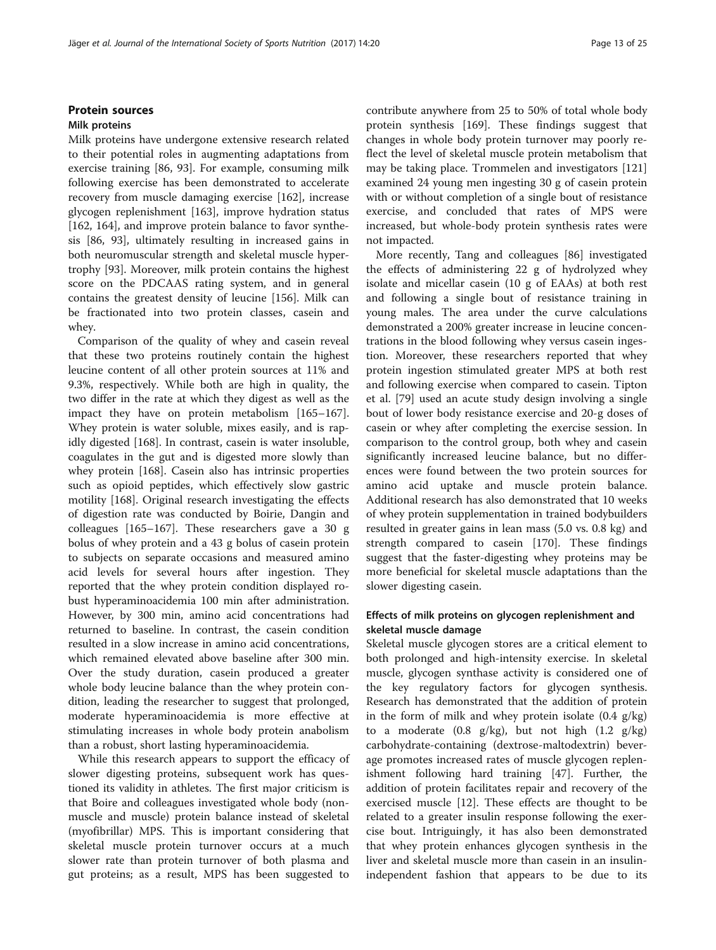#### Protein sources

#### Milk proteins

Milk proteins have undergone extensive research related to their potential roles in augmenting adaptations from exercise training [[86](#page-23-0), [93](#page-23-0)]. For example, consuming milk following exercise has been demonstrated to accelerate recovery from muscle damaging exercise [[162](#page-25-0)], increase glycogen replenishment [\[163\]](#page-25-0), improve hydration status [[162, 164\]](#page-25-0), and improve protein balance to favor synthesis [\[86](#page-23-0), [93](#page-23-0)], ultimately resulting in increased gains in both neuromuscular strength and skeletal muscle hypertrophy [\[93\]](#page-23-0). Moreover, milk protein contains the highest score on the PDCAAS rating system, and in general contains the greatest density of leucine [\[156\]](#page-25-0). Milk can be fractionated into two protein classes, casein and whey.

Comparison of the quality of whey and casein reveal that these two proteins routinely contain the highest leucine content of all other protein sources at 11% and 9.3%, respectively. While both are high in quality, the two differ in the rate at which they digest as well as the impact they have on protein metabolism [[165](#page-25-0)–[167](#page-25-0)]. Whey protein is water soluble, mixes easily, and is rapidly digested [\[168](#page-25-0)]. In contrast, casein is water insoluble, coagulates in the gut and is digested more slowly than whey protein [[168](#page-25-0)]. Casein also has intrinsic properties such as opioid peptides, which effectively slow gastric motility [\[168\]](#page-25-0). Original research investigating the effects of digestion rate was conducted by Boirie, Dangin and colleagues [\[165](#page-25-0)–[167\]](#page-25-0). These researchers gave a 30 g bolus of whey protein and a 43 g bolus of casein protein to subjects on separate occasions and measured amino acid levels for several hours after ingestion. They reported that the whey protein condition displayed robust hyperaminoacidemia 100 min after administration. However, by 300 min, amino acid concentrations had returned to baseline. In contrast, the casein condition resulted in a slow increase in amino acid concentrations, which remained elevated above baseline after 300 min. Over the study duration, casein produced a greater whole body leucine balance than the whey protein condition, leading the researcher to suggest that prolonged, moderate hyperaminoacidemia is more effective at stimulating increases in whole body protein anabolism than a robust, short lasting hyperaminoacidemia.

While this research appears to support the efficacy of slower digesting proteins, subsequent work has questioned its validity in athletes. The first major criticism is that Boire and colleagues investigated whole body (nonmuscle and muscle) protein balance instead of skeletal (myofibrillar) MPS. This is important considering that skeletal muscle protein turnover occurs at a much slower rate than protein turnover of both plasma and gut proteins; as a result, MPS has been suggested to contribute anywhere from 25 to 50% of total whole body protein synthesis [[169\]](#page-25-0). These findings suggest that changes in whole body protein turnover may poorly reflect the level of skeletal muscle protein metabolism that may be taking place. Trommelen and investigators [[121](#page-24-0)] examined 24 young men ingesting 30 g of casein protein with or without completion of a single bout of resistance exercise, and concluded that rates of MPS were increased, but whole-body protein synthesis rates were not impacted.

More recently, Tang and colleagues [[86](#page-23-0)] investigated the effects of administering 22 g of hydrolyzed whey isolate and micellar casein (10 g of EAAs) at both rest and following a single bout of resistance training in young males. The area under the curve calculations demonstrated a 200% greater increase in leucine concentrations in the blood following whey versus casein ingestion. Moreover, these researchers reported that whey protein ingestion stimulated greater MPS at both rest and following exercise when compared to casein. Tipton et al. [\[79\]](#page-23-0) used an acute study design involving a single bout of lower body resistance exercise and 20-g doses of casein or whey after completing the exercise session. In comparison to the control group, both whey and casein significantly increased leucine balance, but no differences were found between the two protein sources for amino acid uptake and muscle protein balance. Additional research has also demonstrated that 10 weeks of whey protein supplementation in trained bodybuilders resulted in greater gains in lean mass (5.0 vs. 0.8 kg) and strength compared to casein [\[170\]](#page-25-0). These findings suggest that the faster-digesting whey proteins may be more beneficial for skeletal muscle adaptations than the slower digesting casein.

#### Effects of milk proteins on glycogen replenishment and skeletal muscle damage

Skeletal muscle glycogen stores are a critical element to both prolonged and high-intensity exercise. In skeletal muscle, glycogen synthase activity is considered one of the key regulatory factors for glycogen synthesis. Research has demonstrated that the addition of protein in the form of milk and whey protein isolate (0.4 g/kg) to a moderate  $(0.8 \text{ g/kg})$ , but not high  $(1.2 \text{ g/kg})$ carbohydrate-containing (dextrose-maltodextrin) beverage promotes increased rates of muscle glycogen replenishment following hard training [[47\]](#page-22-0). Further, the addition of protein facilitates repair and recovery of the exercised muscle [\[12](#page-22-0)]. These effects are thought to be related to a greater insulin response following the exercise bout. Intriguingly, it has also been demonstrated that whey protein enhances glycogen synthesis in the liver and skeletal muscle more than casein in an insulinindependent fashion that appears to be due to its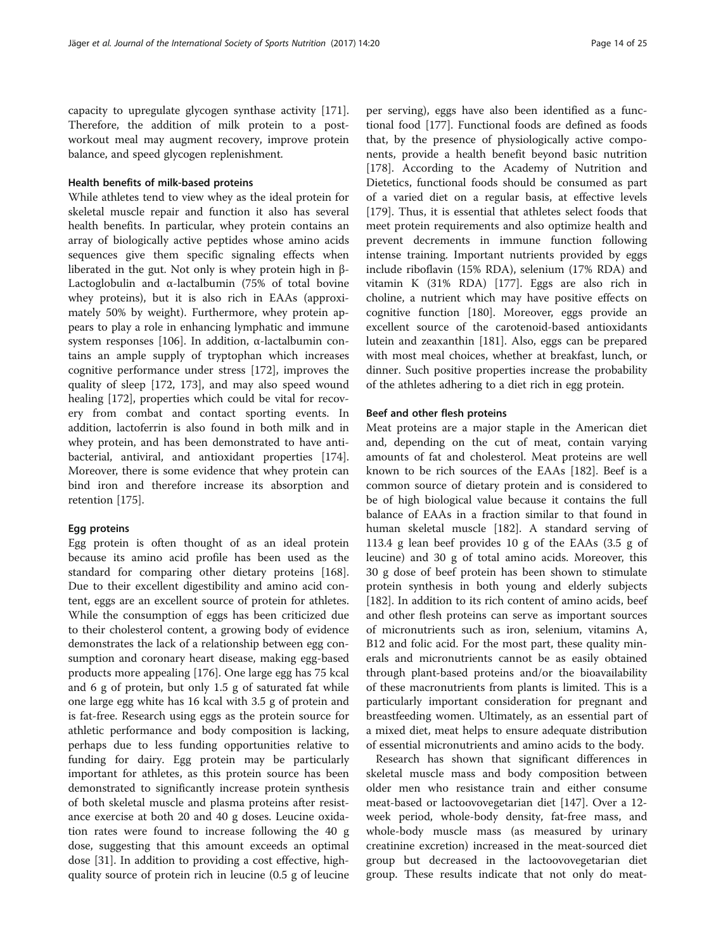capacity to upregulate glycogen synthase activity [\[171](#page-25-0)]. Therefore, the addition of milk protein to a postworkout meal may augment recovery, improve protein balance, and speed glycogen replenishment.

#### Health benefits of milk-based proteins

While athletes tend to view whey as the ideal protein for skeletal muscle repair and function it also has several health benefits. In particular, whey protein contains an array of biologically active peptides whose amino acids sequences give them specific signaling effects when liberated in the gut. Not only is whey protein high in β-Lactoglobulin and α-lactalbumin (75% of total bovine whey proteins), but it is also rich in EAAs (approximately 50% by weight). Furthermore, whey protein appears to play a role in enhancing lymphatic and immune system responses [[106\]](#page-24-0). In addition, α-lactalbumin contains an ample supply of tryptophan which increases cognitive performance under stress [[172\]](#page-25-0), improves the quality of sleep [[172, 173\]](#page-25-0), and may also speed wound healing [[172\]](#page-25-0), properties which could be vital for recovery from combat and contact sporting events. In addition, lactoferrin is also found in both milk and in whey protein, and has been demonstrated to have antibacterial, antiviral, and antioxidant properties [\[174](#page-25-0)]. Moreover, there is some evidence that whey protein can bind iron and therefore increase its absorption and retention [\[175\]](#page-25-0).

#### Egg proteins

Egg protein is often thought of as an ideal protein because its amino acid profile has been used as the standard for comparing other dietary proteins [\[168](#page-25-0)]. Due to their excellent digestibility and amino acid content, eggs are an excellent source of protein for athletes. While the consumption of eggs has been criticized due to their cholesterol content, a growing body of evidence demonstrates the lack of a relationship between egg consumption and coronary heart disease, making egg-based products more appealing [[176\]](#page-25-0). One large egg has 75 kcal and 6 g of protein, but only 1.5 g of saturated fat while one large egg white has 16 kcal with 3.5 g of protein and is fat-free. Research using eggs as the protein source for athletic performance and body composition is lacking, perhaps due to less funding opportunities relative to funding for dairy. Egg protein may be particularly important for athletes, as this protein source has been demonstrated to significantly increase protein synthesis of both skeletal muscle and plasma proteins after resistance exercise at both 20 and 40 g doses. Leucine oxidation rates were found to increase following the 40 g dose, suggesting that this amount exceeds an optimal dose [[31](#page-22-0)]. In addition to providing a cost effective, highquality source of protein rich in leucine (0.5 g of leucine

per serving), eggs have also been identified as a functional food [\[177\]](#page-25-0). Functional foods are defined as foods that, by the presence of physiologically active components, provide a health benefit beyond basic nutrition [[178\]](#page-25-0). According to the Academy of Nutrition and Dietetics, functional foods should be consumed as part of a varied diet on a regular basis, at effective levels [[179\]](#page-25-0). Thus, it is essential that athletes select foods that meet protein requirements and also optimize health and prevent decrements in immune function following intense training. Important nutrients provided by eggs include riboflavin (15% RDA), selenium (17% RDA) and vitamin K (31% RDA) [[177](#page-25-0)]. Eggs are also rich in choline, a nutrient which may have positive effects on cognitive function [\[180\]](#page-25-0). Moreover, eggs provide an excellent source of the carotenoid-based antioxidants lutein and zeaxanthin [[181\]](#page-25-0). Also, eggs can be prepared with most meal choices, whether at breakfast, lunch, or dinner. Such positive properties increase the probability of the athletes adhering to a diet rich in egg protein.

#### Beef and other flesh proteins

Meat proteins are a major staple in the American diet and, depending on the cut of meat, contain varying amounts of fat and cholesterol. Meat proteins are well known to be rich sources of the EAAs [[182](#page-25-0)]. Beef is a common source of dietary protein and is considered to be of high biological value because it contains the full balance of EAAs in a fraction similar to that found in human skeletal muscle [[182\]](#page-25-0). A standard serving of 113.4 g lean beef provides 10 g of the EAAs (3.5 g of leucine) and 30 g of total amino acids. Moreover, this 30 g dose of beef protein has been shown to stimulate protein synthesis in both young and elderly subjects [[182\]](#page-25-0). In addition to its rich content of amino acids, beef and other flesh proteins can serve as important sources of micronutrients such as iron, selenium, vitamins A, B12 and folic acid. For the most part, these quality minerals and micronutrients cannot be as easily obtained through plant-based proteins and/or the bioavailability of these macronutrients from plants is limited. This is a particularly important consideration for pregnant and breastfeeding women. Ultimately, as an essential part of a mixed diet, meat helps to ensure adequate distribution of essential micronutrients and amino acids to the body.

Research has shown that significant differences in skeletal muscle mass and body composition between older men who resistance train and either consume meat-based or lactoovovegetarian diet [\[147](#page-25-0)]. Over a 12 week period, whole-body density, fat-free mass, and whole-body muscle mass (as measured by urinary creatinine excretion) increased in the meat-sourced diet group but decreased in the lactoovovegetarian diet group. These results indicate that not only do meat-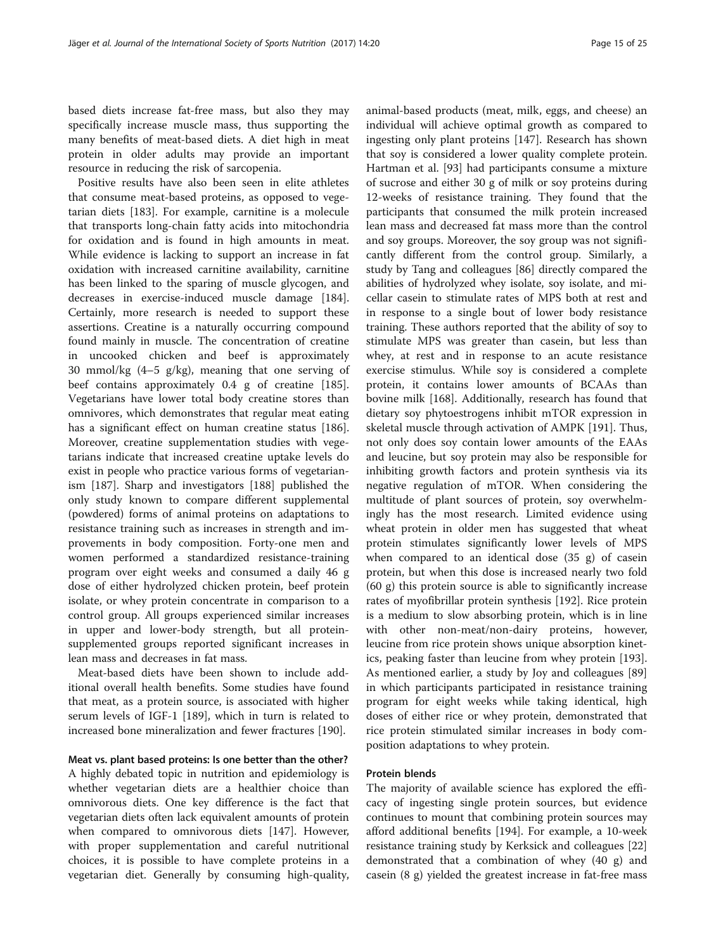based diets increase fat-free mass, but also they may specifically increase muscle mass, thus supporting the many benefits of meat-based diets. A diet high in meat protein in older adults may provide an important resource in reducing the risk of sarcopenia.

Positive results have also been seen in elite athletes that consume meat-based proteins, as opposed to vegetarian diets [\[183\]](#page-25-0). For example, carnitine is a molecule that transports long-chain fatty acids into mitochondria for oxidation and is found in high amounts in meat. While evidence is lacking to support an increase in fat oxidation with increased carnitine availability, carnitine has been linked to the sparing of muscle glycogen, and decreases in exercise-induced muscle damage [\[184](#page-25-0)]. Certainly, more research is needed to support these assertions. Creatine is a naturally occurring compound found mainly in muscle. The concentration of creatine in uncooked chicken and beef is approximately 30 mmol/kg (4–5 g/kg), meaning that one serving of beef contains approximately 0.4 g of creatine [\[185](#page-25-0)]. Vegetarians have lower total body creatine stores than omnivores, which demonstrates that regular meat eating has a significant effect on human creatine status [\[186](#page-26-0)]. Moreover, creatine supplementation studies with vegetarians indicate that increased creatine uptake levels do exist in people who practice various forms of vegetarianism [\[187\]](#page-26-0). Sharp and investigators [[188\]](#page-26-0) published the only study known to compare different supplemental (powdered) forms of animal proteins on adaptations to resistance training such as increases in strength and improvements in body composition. Forty-one men and women performed a standardized resistance-training program over eight weeks and consumed a daily 46 g dose of either hydrolyzed chicken protein, beef protein isolate, or whey protein concentrate in comparison to a control group. All groups experienced similar increases in upper and lower-body strength, but all proteinsupplemented groups reported significant increases in lean mass and decreases in fat mass.

Meat-based diets have been shown to include additional overall health benefits. Some studies have found that meat, as a protein source, is associated with higher serum levels of IGF-1 [[189\]](#page-26-0), which in turn is related to increased bone mineralization and fewer fractures [[190](#page-26-0)].

#### Meat vs. plant based proteins: Is one better than the other?

A highly debated topic in nutrition and epidemiology is whether vegetarian diets are a healthier choice than omnivorous diets. One key difference is the fact that vegetarian diets often lack equivalent amounts of protein when compared to omnivorous diets [[147\]](#page-25-0). However, with proper supplementation and careful nutritional choices, it is possible to have complete proteins in a vegetarian diet. Generally by consuming high-quality, animal-based products (meat, milk, eggs, and cheese) an individual will achieve optimal growth as compared to ingesting only plant proteins [[147\]](#page-25-0). Research has shown that soy is considered a lower quality complete protein. Hartman et al. [[93\]](#page-23-0) had participants consume a mixture of sucrose and either 30 g of milk or soy proteins during 12-weeks of resistance training. They found that the participants that consumed the milk protein increased lean mass and decreased fat mass more than the control and soy groups. Moreover, the soy group was not significantly different from the control group. Similarly, a study by Tang and colleagues [\[86\]](#page-23-0) directly compared the abilities of hydrolyzed whey isolate, soy isolate, and micellar casein to stimulate rates of MPS both at rest and in response to a single bout of lower body resistance training. These authors reported that the ability of soy to stimulate MPS was greater than casein, but less than whey, at rest and in response to an acute resistance exercise stimulus. While soy is considered a complete protein, it contains lower amounts of BCAAs than bovine milk [\[168](#page-25-0)]. Additionally, research has found that dietary soy phytoestrogens inhibit mTOR expression in skeletal muscle through activation of AMPK [\[191](#page-26-0)]. Thus, not only does soy contain lower amounts of the EAAs and leucine, but soy protein may also be responsible for inhibiting growth factors and protein synthesis via its negative regulation of mTOR. When considering the multitude of plant sources of protein, soy overwhelmingly has the most research. Limited evidence using wheat protein in older men has suggested that wheat protein stimulates significantly lower levels of MPS when compared to an identical dose (35 g) of casein protein, but when this dose is increased nearly two fold (60 g) this protein source is able to significantly increase rates of myofibrillar protein synthesis [\[192\]](#page-26-0). Rice protein is a medium to slow absorbing protein, which is in line with other non-meat/non-dairy proteins, however, leucine from rice protein shows unique absorption kinetics, peaking faster than leucine from whey protein [[193](#page-26-0)]. As mentioned earlier, a study by Joy and colleagues [[89](#page-23-0)] in which participants participated in resistance training program for eight weeks while taking identical, high doses of either rice or whey protein, demonstrated that rice protein stimulated similar increases in body composition adaptations to whey protein.

#### Protein blends

The majority of available science has explored the efficacy of ingesting single protein sources, but evidence continues to mount that combining protein sources may afford additional benefits [\[194](#page-26-0)]. For example, a 10-week resistance training study by Kerksick and colleagues [[22](#page-22-0)] demonstrated that a combination of whey (40 g) and casein (8 g) yielded the greatest increase in fat-free mass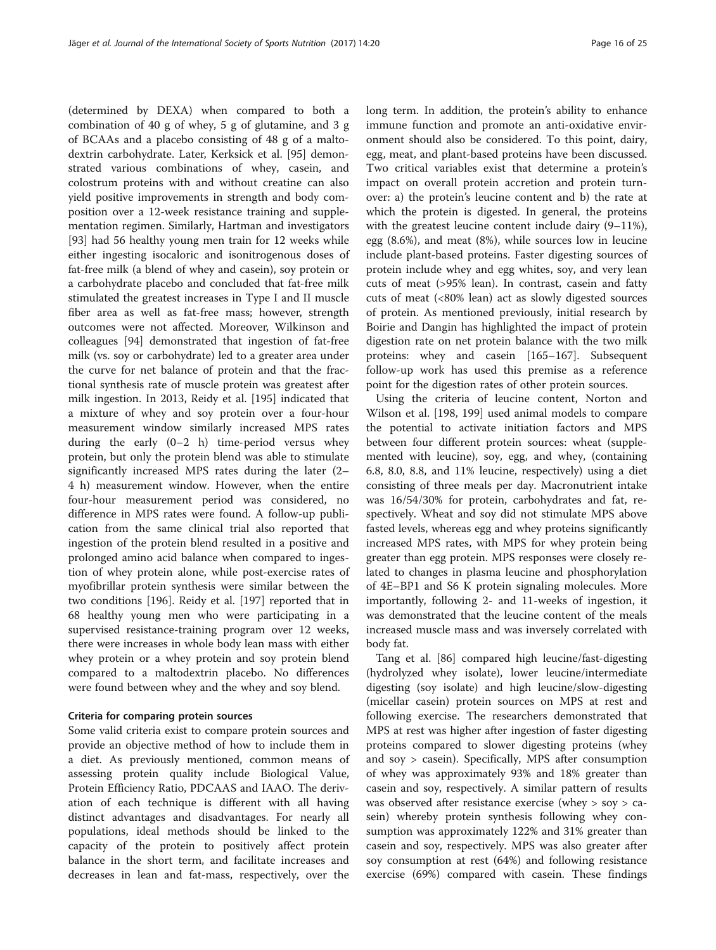(determined by DEXA) when compared to both a combination of 40 g of whey, 5 g of glutamine, and 3 g of BCAAs and a placebo consisting of 48 g of a maltodextrin carbohydrate. Later, Kerksick et al. [[95\]](#page-24-0) demonstrated various combinations of whey, casein, and colostrum proteins with and without creatine can also yield positive improvements in strength and body composition over a 12-week resistance training and supplementation regimen. Similarly, Hartman and investigators [[93\]](#page-23-0) had 56 healthy young men train for 12 weeks while either ingesting isocaloric and isonitrogenous doses of fat-free milk (a blend of whey and casein), soy protein or a carbohydrate placebo and concluded that fat-free milk stimulated the greatest increases in Type I and II muscle fiber area as well as fat-free mass; however, strength outcomes were not affected. Moreover, Wilkinson and colleagues [\[94](#page-24-0)] demonstrated that ingestion of fat-free milk (vs. soy or carbohydrate) led to a greater area under the curve for net balance of protein and that the fractional synthesis rate of muscle protein was greatest after milk ingestion. In 2013, Reidy et al. [\[195\]](#page-26-0) indicated that a mixture of whey and soy protein over a four-hour measurement window similarly increased MPS rates during the early  $(0-2 h)$  time-period versus whey protein, but only the protein blend was able to stimulate significantly increased MPS rates during the later (2– 4 h) measurement window. However, when the entire four-hour measurement period was considered, no difference in MPS rates were found. A follow-up publication from the same clinical trial also reported that ingestion of the protein blend resulted in a positive and prolonged amino acid balance when compared to ingestion of whey protein alone, while post-exercise rates of myofibrillar protein synthesis were similar between the two conditions [\[196\]](#page-26-0). Reidy et al. [[197](#page-26-0)] reported that in 68 healthy young men who were participating in a supervised resistance-training program over 12 weeks, there were increases in whole body lean mass with either whey protein or a whey protein and soy protein blend compared to a maltodextrin placebo. No differences were found between whey and the whey and soy blend.

#### Criteria for comparing protein sources

Some valid criteria exist to compare protein sources and provide an objective method of how to include them in a diet. As previously mentioned, common means of assessing protein quality include Biological Value, Protein Efficiency Ratio, PDCAAS and IAAO. The derivation of each technique is different with all having distinct advantages and disadvantages. For nearly all populations, ideal methods should be linked to the capacity of the protein to positively affect protein balance in the short term, and facilitate increases and decreases in lean and fat-mass, respectively, over the long term. In addition, the protein's ability to enhance immune function and promote an anti-oxidative environment should also be considered. To this point, dairy, egg, meat, and plant-based proteins have been discussed. Two critical variables exist that determine a protein's impact on overall protein accretion and protein turnover: a) the protein's leucine content and b) the rate at which the protein is digested. In general, the proteins with the greatest leucine content include dairy (9–11%), egg (8.6%), and meat (8%), while sources low in leucine include plant-based proteins. Faster digesting sources of protein include whey and egg whites, soy, and very lean cuts of meat (>95% lean). In contrast, casein and fatty cuts of meat (<80% lean) act as slowly digested sources of protein. As mentioned previously, initial research by Boirie and Dangin has highlighted the impact of protein digestion rate on net protein balance with the two milk proteins: whey and casein [\[165](#page-25-0)–[167\]](#page-25-0). Subsequent follow-up work has used this premise as a reference point for the digestion rates of other protein sources.

Using the criteria of leucine content, Norton and Wilson et al. [\[198, 199](#page-26-0)] used animal models to compare the potential to activate initiation factors and MPS between four different protein sources: wheat (supplemented with leucine), soy, egg, and whey, (containing 6.8, 8.0, 8.8, and 11% leucine, respectively) using a diet consisting of three meals per day. Macronutrient intake was 16/54/30% for protein, carbohydrates and fat, respectively. Wheat and soy did not stimulate MPS above fasted levels, whereas egg and whey proteins significantly increased MPS rates, with MPS for whey protein being greater than egg protein. MPS responses were closely related to changes in plasma leucine and phosphorylation of 4E–BP1 and S6 K protein signaling molecules. More importantly, following 2- and 11-weeks of ingestion, it was demonstrated that the leucine content of the meals increased muscle mass and was inversely correlated with body fat.

Tang et al. [[86](#page-23-0)] compared high leucine/fast-digesting (hydrolyzed whey isolate), lower leucine/intermediate digesting (soy isolate) and high leucine/slow-digesting (micellar casein) protein sources on MPS at rest and following exercise. The researchers demonstrated that MPS at rest was higher after ingestion of faster digesting proteins compared to slower digesting proteins (whey and soy > casein). Specifically, MPS after consumption of whey was approximately 93% and 18% greater than casein and soy, respectively. A similar pattern of results was observed after resistance exercise (whey > soy > casein) whereby protein synthesis following whey consumption was approximately 122% and 31% greater than casein and soy, respectively. MPS was also greater after soy consumption at rest (64%) and following resistance exercise (69%) compared with casein. These findings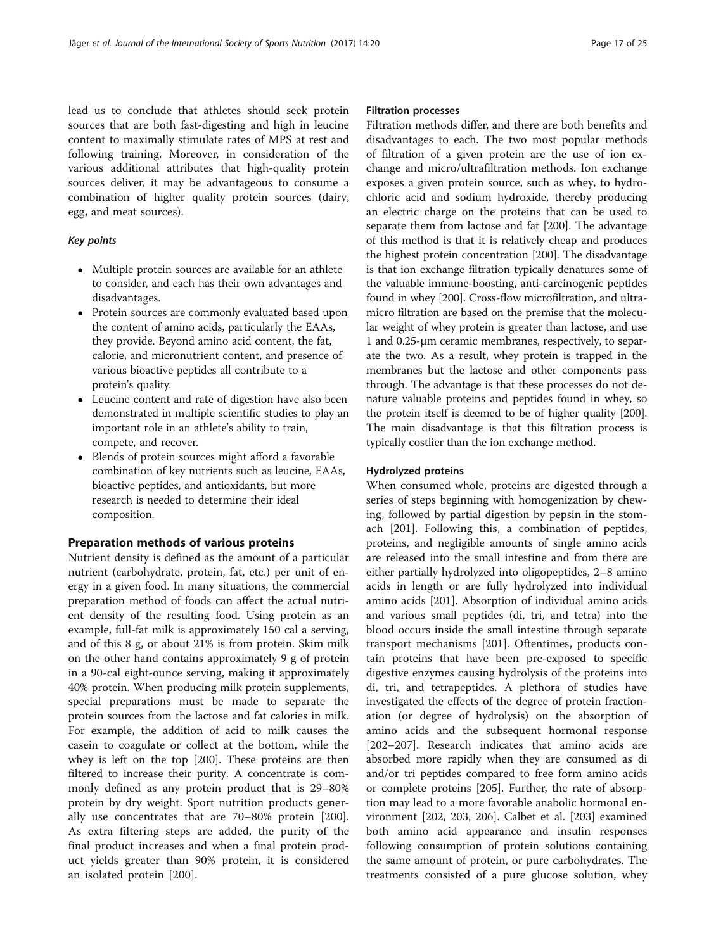lead us to conclude that athletes should seek protein sources that are both fast-digesting and high in leucine content to maximally stimulate rates of MPS at rest and following training. Moreover, in consideration of the various additional attributes that high-quality protein sources deliver, it may be advantageous to consume a combination of higher quality protein sources (dairy, egg, and meat sources).

#### Key points

- Multiple protein sources are available for an athlete to consider, and each has their own advantages and disadvantages.
- Protein sources are commonly evaluated based upon the content of amino acids, particularly the EAAs, they provide. Beyond amino acid content, the fat, calorie, and micronutrient content, and presence of various bioactive peptides all contribute to a protein's quality.
- Leucine content and rate of digestion have also been demonstrated in multiple scientific studies to play an important role in an athlete's ability to train, compete, and recover.
- Blends of protein sources might afford a favorable combination of key nutrients such as leucine, EAAs, bioactive peptides, and antioxidants, but more research is needed to determine their ideal composition.

#### Preparation methods of various proteins

Nutrient density is defined as the amount of a particular nutrient (carbohydrate, protein, fat, etc.) per unit of energy in a given food. In many situations, the commercial preparation method of foods can affect the actual nutrient density of the resulting food. Using protein as an example, full-fat milk is approximately 150 cal a serving, and of this 8 g, or about 21% is from protein. Skim milk on the other hand contains approximately 9 g of protein in a 90-cal eight-ounce serving, making it approximately 40% protein. When producing milk protein supplements, special preparations must be made to separate the protein sources from the lactose and fat calories in milk. For example, the addition of acid to milk causes the casein to coagulate or collect at the bottom, while the whey is left on the top [\[200\]](#page-26-0). These proteins are then filtered to increase their purity. A concentrate is commonly defined as any protein product that is 29–80% protein by dry weight. Sport nutrition products generally use concentrates that are 70–80% protein [\[200](#page-26-0)]. As extra filtering steps are added, the purity of the final product increases and when a final protein product yields greater than 90% protein, it is considered an isolated protein [[200\]](#page-26-0).

#### Filtration processes

Filtration methods differ, and there are both benefits and disadvantages to each. The two most popular methods of filtration of a given protein are the use of ion exchange and micro/ultrafiltration methods. Ion exchange exposes a given protein source, such as whey, to hydrochloric acid and sodium hydroxide, thereby producing an electric charge on the proteins that can be used to separate them from lactose and fat [\[200\]](#page-26-0). The advantage of this method is that it is relatively cheap and produces the highest protein concentration [[200](#page-26-0)]. The disadvantage is that ion exchange filtration typically denatures some of the valuable immune-boosting, anti-carcinogenic peptides found in whey [[200](#page-26-0)]. Cross-flow microfiltration, and ultramicro filtration are based on the premise that the molecular weight of whey protein is greater than lactose, and use 1 and 0.25-μm ceramic membranes, respectively, to separate the two. As a result, whey protein is trapped in the membranes but the lactose and other components pass through. The advantage is that these processes do not denature valuable proteins and peptides found in whey, so the protein itself is deemed to be of higher quality [[200](#page-26-0)]. The main disadvantage is that this filtration process is typically costlier than the ion exchange method.

#### Hydrolyzed proteins

When consumed whole, proteins are digested through a series of steps beginning with homogenization by chewing, followed by partial digestion by pepsin in the stomach [[201](#page-26-0)]. Following this, a combination of peptides, proteins, and negligible amounts of single amino acids are released into the small intestine and from there are either partially hydrolyzed into oligopeptides, 2–8 amino acids in length or are fully hydrolyzed into individual amino acids [[201\]](#page-26-0). Absorption of individual amino acids and various small peptides (di, tri, and tetra) into the blood occurs inside the small intestine through separate transport mechanisms [\[201\]](#page-26-0). Oftentimes, products contain proteins that have been pre-exposed to specific digestive enzymes causing hydrolysis of the proteins into di, tri, and tetrapeptides. A plethora of studies have investigated the effects of the degree of protein fractionation (or degree of hydrolysis) on the absorption of amino acids and the subsequent hormonal response [[202](#page-26-0)–[207](#page-26-0)]. Research indicates that amino acids are absorbed more rapidly when they are consumed as di and/or tri peptides compared to free form amino acids or complete proteins [\[205\]](#page-26-0). Further, the rate of absorption may lead to a more favorable anabolic hormonal environment [\[202, 203, 206](#page-26-0)]. Calbet et al. [\[203](#page-26-0)] examined both amino acid appearance and insulin responses following consumption of protein solutions containing the same amount of protein, or pure carbohydrates. The treatments consisted of a pure glucose solution, whey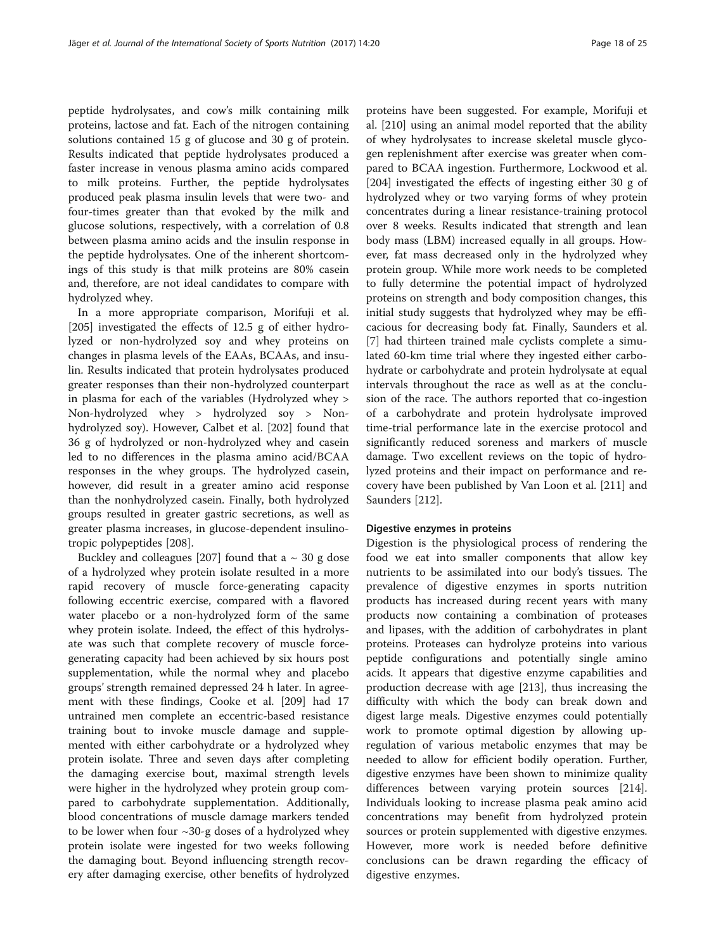peptide hydrolysates, and cow's milk containing milk proteins, lactose and fat. Each of the nitrogen containing solutions contained 15 g of glucose and 30 g of protein. Results indicated that peptide hydrolysates produced a faster increase in venous plasma amino acids compared to milk proteins. Further, the peptide hydrolysates produced peak plasma insulin levels that were two- and four-times greater than that evoked by the milk and glucose solutions, respectively, with a correlation of 0.8 between plasma amino acids and the insulin response in the peptide hydrolysates. One of the inherent shortcomings of this study is that milk proteins are 80% casein and, therefore, are not ideal candidates to compare with hydrolyzed whey.

In a more appropriate comparison, Morifuji et al. [[205\]](#page-26-0) investigated the effects of 12.5 g of either hydrolyzed or non-hydrolyzed soy and whey proteins on changes in plasma levels of the EAAs, BCAAs, and insulin. Results indicated that protein hydrolysates produced greater responses than their non-hydrolyzed counterpart in plasma for each of the variables (Hydrolyzed whey > Non-hydrolyzed whey > hydrolyzed soy > Nonhydrolyzed soy). However, Calbet et al. [[202](#page-26-0)] found that 36 g of hydrolyzed or non-hydrolyzed whey and casein led to no differences in the plasma amino acid/BCAA responses in the whey groups. The hydrolyzed casein, however, did result in a greater amino acid response than the nonhydrolyzed casein. Finally, both hydrolyzed groups resulted in greater gastric secretions, as well as greater plasma increases, in glucose-dependent insulinotropic polypeptides [\[208\]](#page-26-0).

Buckley and colleagues [\[207\]](#page-26-0) found that a  $\sim$  30 g dose of a hydrolyzed whey protein isolate resulted in a more rapid recovery of muscle force-generating capacity following eccentric exercise, compared with a flavored water placebo or a non-hydrolyzed form of the same whey protein isolate. Indeed, the effect of this hydrolysate was such that complete recovery of muscle forcegenerating capacity had been achieved by six hours post supplementation, while the normal whey and placebo groups' strength remained depressed 24 h later. In agreement with these findings, Cooke et al. [[209](#page-26-0)] had 17 untrained men complete an eccentric-based resistance training bout to invoke muscle damage and supplemented with either carbohydrate or a hydrolyzed whey protein isolate. Three and seven days after completing the damaging exercise bout, maximal strength levels were higher in the hydrolyzed whey protein group compared to carbohydrate supplementation. Additionally, blood concentrations of muscle damage markers tended to be lower when four ~30-g doses of a hydrolyzed whey protein isolate were ingested for two weeks following the damaging bout. Beyond influencing strength recovery after damaging exercise, other benefits of hydrolyzed proteins have been suggested. For example, Morifuji et al. [\[210](#page-26-0)] using an animal model reported that the ability of whey hydrolysates to increase skeletal muscle glycogen replenishment after exercise was greater when compared to BCAA ingestion. Furthermore, Lockwood et al. [[204\]](#page-26-0) investigated the effects of ingesting either 30 g of hydrolyzed whey or two varying forms of whey protein concentrates during a linear resistance-training protocol over 8 weeks. Results indicated that strength and lean body mass (LBM) increased equally in all groups. However, fat mass decreased only in the hydrolyzed whey protein group. While more work needs to be completed to fully determine the potential impact of hydrolyzed proteins on strength and body composition changes, this initial study suggests that hydrolyzed whey may be efficacious for decreasing body fat. Finally, Saunders et al. [[7\]](#page-22-0) had thirteen trained male cyclists complete a simulated 60-km time trial where they ingested either carbohydrate or carbohydrate and protein hydrolysate at equal intervals throughout the race as well as at the conclusion of the race. The authors reported that co-ingestion of a carbohydrate and protein hydrolysate improved time-trial performance late in the exercise protocol and significantly reduced soreness and markers of muscle damage. Two excellent reviews on the topic of hydrolyzed proteins and their impact on performance and recovery have been published by Van Loon et al. [[211](#page-26-0)] and Saunders [\[212\]](#page-26-0).

#### Digestive enzymes in proteins

Digestion is the physiological process of rendering the food we eat into smaller components that allow key nutrients to be assimilated into our body's tissues. The prevalence of digestive enzymes in sports nutrition products has increased during recent years with many products now containing a combination of proteases and lipases, with the addition of carbohydrates in plant proteins. Proteases can hydrolyze proteins into various peptide configurations and potentially single amino acids. It appears that digestive enzyme capabilities and production decrease with age [[213\]](#page-26-0), thus increasing the difficulty with which the body can break down and digest large meals. Digestive enzymes could potentially work to promote optimal digestion by allowing upregulation of various metabolic enzymes that may be needed to allow for efficient bodily operation. Further, digestive enzymes have been shown to minimize quality differences between varying protein sources [[214](#page-26-0)]. Individuals looking to increase plasma peak amino acid concentrations may benefit from hydrolyzed protein sources or protein supplemented with digestive enzymes. However, more work is needed before definitive conclusions can be drawn regarding the efficacy of digestive enzymes.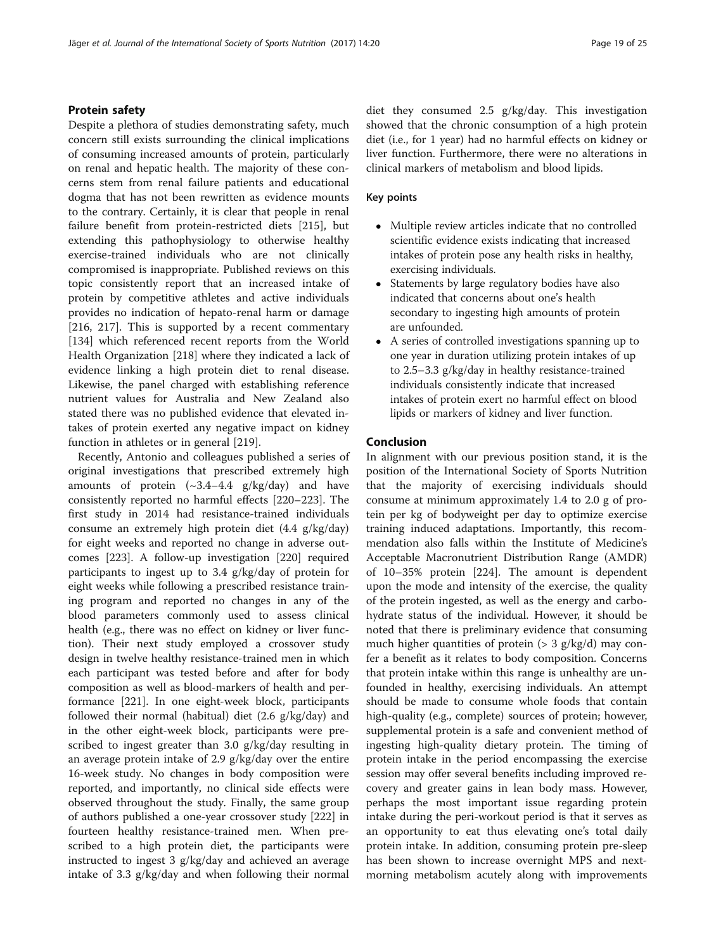#### Protein safety

Despite a plethora of studies demonstrating safety, much concern still exists surrounding the clinical implications of consuming increased amounts of protein, particularly on renal and hepatic health. The majority of these concerns stem from renal failure patients and educational dogma that has not been rewritten as evidence mounts to the contrary. Certainly, it is clear that people in renal failure benefit from protein-restricted diets [\[215](#page-26-0)], but extending this pathophysiology to otherwise healthy exercise-trained individuals who are not clinically compromised is inappropriate. Published reviews on this topic consistently report that an increased intake of protein by competitive athletes and active individuals provides no indication of hepato-renal harm or damage [[216, 217](#page-26-0)]. This is supported by a recent commentary [[134\]](#page-24-0) which referenced recent reports from the World Health Organization [[218](#page-26-0)] where they indicated a lack of evidence linking a high protein diet to renal disease. Likewise, the panel charged with establishing reference nutrient values for Australia and New Zealand also stated there was no published evidence that elevated intakes of protein exerted any negative impact on kidney function in athletes or in general [\[219\]](#page-26-0).

Recently, Antonio and colleagues published a series of original investigations that prescribed extremely high amounts of protein  $(\sim 3.4-4.4 \text{ g/kg/day})$  and have consistently reported no harmful effects [\[220](#page-26-0)–[223](#page-26-0)]. The first study in 2014 had resistance-trained individuals consume an extremely high protein diet (4.4 g/kg/day) for eight weeks and reported no change in adverse outcomes [[223\]](#page-26-0). A follow-up investigation [[220\]](#page-26-0) required participants to ingest up to 3.4 g/kg/day of protein for eight weeks while following a prescribed resistance training program and reported no changes in any of the blood parameters commonly used to assess clinical health (e.g., there was no effect on kidney or liver function). Their next study employed a crossover study design in twelve healthy resistance-trained men in which each participant was tested before and after for body composition as well as blood-markers of health and performance [[221](#page-26-0)]. In one eight-week block, participants followed their normal (habitual) diet (2.6 g/kg/day) and in the other eight-week block, participants were prescribed to ingest greater than 3.0 g/kg/day resulting in an average protein intake of 2.9 g/kg/day over the entire 16-week study. No changes in body composition were reported, and importantly, no clinical side effects were observed throughout the study. Finally, the same group of authors published a one-year crossover study [\[222](#page-26-0)] in fourteen healthy resistance-trained men. When prescribed to a high protein diet, the participants were instructed to ingest 3 g/kg/day and achieved an average intake of 3.3 g/kg/day and when following their normal diet they consumed 2.5 g/kg/day. This investigation showed that the chronic consumption of a high protein diet (i.e., for 1 year) had no harmful effects on kidney or liver function. Furthermore, there were no alterations in clinical markers of metabolism and blood lipids.

#### Key points

- Multiple review articles indicate that no controlled scientific evidence exists indicating that increased intakes of protein pose any health risks in healthy, exercising individuals.
- Statements by large regulatory bodies have also indicated that concerns about one's health secondary to ingesting high amounts of protein are unfounded.
- A series of controlled investigations spanning up to one year in duration utilizing protein intakes of up to 2.5–3.3 g/kg/day in healthy resistance-trained individuals consistently indicate that increased intakes of protein exert no harmful effect on blood lipids or markers of kidney and liver function.

#### Conclusion

In alignment with our previous position stand, it is the position of the International Society of Sports Nutrition that the majority of exercising individuals should consume at minimum approximately 1.4 to 2.0 g of protein per kg of bodyweight per day to optimize exercise training induced adaptations. Importantly, this recommendation also falls within the Institute of Medicine's Acceptable Macronutrient Distribution Range (AMDR) of 10–35% protein [[224](#page-26-0)]. The amount is dependent upon the mode and intensity of the exercise, the quality of the protein ingested, as well as the energy and carbohydrate status of the individual. However, it should be noted that there is preliminary evidence that consuming much higher quantities of protein  $(> 3 g/kg/d)$  may confer a benefit as it relates to body composition. Concerns that protein intake within this range is unhealthy are unfounded in healthy, exercising individuals. An attempt should be made to consume whole foods that contain high-quality (e.g., complete) sources of protein; however, supplemental protein is a safe and convenient method of ingesting high-quality dietary protein. The timing of protein intake in the period encompassing the exercise session may offer several benefits including improved recovery and greater gains in lean body mass. However, perhaps the most important issue regarding protein intake during the peri-workout period is that it serves as an opportunity to eat thus elevating one's total daily protein intake. In addition, consuming protein pre-sleep has been shown to increase overnight MPS and nextmorning metabolism acutely along with improvements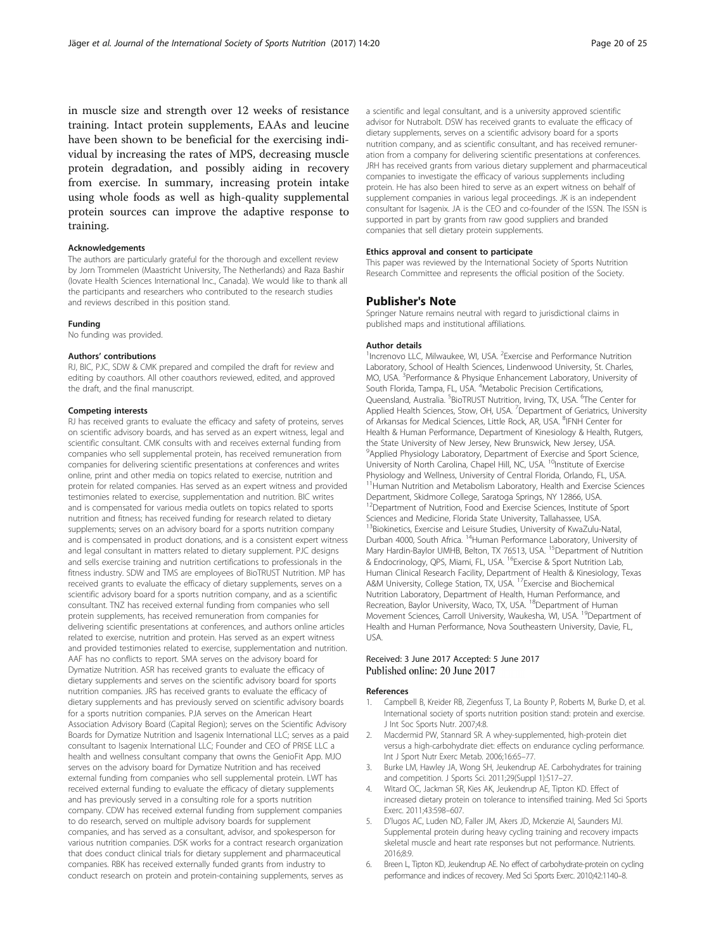<span id="page-21-0"></span>in muscle size and strength over 12 weeks of resistance training. Intact protein supplements, EAAs and leucine have been shown to be beneficial for the exercising individual by increasing the rates of MPS, decreasing muscle protein degradation, and possibly aiding in recovery from exercise. In summary, increasing protein intake using whole foods as well as high-quality supplemental protein sources can improve the adaptive response to training.

#### Acknowledgements

The authors are particularly grateful for the thorough and excellent review by Jorn Trommelen (Maastricht University, The Netherlands) and Raza Bashir (Iovate Health Sciences International Inc., Canada). We would like to thank all the participants and researchers who contributed to the research studies and reviews described in this position stand.

#### Funding

No funding was provided.

#### Authors' contributions

RJ, BIC, PJC, SDW & CMK prepared and compiled the draft for review and editing by coauthors. All other coauthors reviewed, edited, and approved the draft, and the final manuscript.

#### Competing interests

RJ has received grants to evaluate the efficacy and safety of proteins, serves on scientific advisory boards, and has served as an expert witness, legal and scientific consultant. CMK consults with and receives external funding from companies who sell supplemental protein, has received remuneration from companies for delivering scientific presentations at conferences and writes online, print and other media on topics related to exercise, nutrition and protein for related companies. Has served as an expert witness and provided testimonies related to exercise, supplementation and nutrition. BIC writes and is compensated for various media outlets on topics related to sports nutrition and fitness; has received funding for research related to dietary supplements; serves on an advisory board for a sports nutrition company and is compensated in product donations, and is a consistent expert witness and legal consultant in matters related to dietary supplement. PJC designs and sells exercise training and nutrition certifications to professionals in the fitness industry. SDW and TMS are employees of BioTRUST Nutrition. MP has received grants to evaluate the efficacy of dietary supplements, serves on a scientific advisory board for a sports nutrition company, and as a scientific consultant. TNZ has received external funding from companies who sell protein supplements, has received remuneration from companies for delivering scientific presentations at conferences, and authors online articles related to exercise, nutrition and protein. Has served as an expert witness and provided testimonies related to exercise, supplementation and nutrition. AAF has no conflicts to report. SMA serves on the advisory board for Dymatize Nutrition. ASR has received grants to evaluate the efficacy of dietary supplements and serves on the scientific advisory board for sports nutrition companies. JRS has received grants to evaluate the efficacy of dietary supplements and has previously served on scientific advisory boards for a sports nutrition companies. PJA serves on the American Heart Association Advisory Board (Capital Region); serves on the Scientific Advisory Boards for Dymatize Nutrition and Isagenix International LLC; serves as a paid consultant to Isagenix International LLC; Founder and CEO of PRISE LLC a health and wellness consultant company that owns the GenioFit App. MJO serves on the advisory board for Dymatize Nutrition and has received external funding from companies who sell supplemental protein. LWT has received external funding to evaluate the efficacy of dietary supplements and has previously served in a consulting role for a sports nutrition company. CDW has received external funding from supplement companies to do research, served on multiple advisory boards for supplement companies, and has served as a consultant, advisor, and spokesperson for various nutrition companies. DSK works for a contract research organization that does conduct clinical trials for dietary supplement and pharmaceutical companies. RBK has received externally funded grants from industry to conduct research on protein and protein-containing supplements, serves as

a scientific and legal consultant, and is a university approved scientific advisor for Nutrabolt. DSW has received grants to evaluate the efficacy of dietary supplements, serves on a scientific advisory board for a sports nutrition company, and as scientific consultant, and has received remuneration from a company for delivering scientific presentations at conferences. JRH has received grants from various dietary supplement and pharmaceutical companies to investigate the efficacy of various supplements including protein. He has also been hired to serve as an expert witness on behalf of supplement companies in various legal proceedings. JK is an independent consultant for Isagenix. JA is the CEO and co-founder of the ISSN. The ISSN is supported in part by grants from raw good suppliers and branded companies that sell dietary protein supplements.

#### Ethics approval and consent to participate

This paper was reviewed by the International Society of Sports Nutrition Research Committee and represents the official position of the Society.

#### Publisher's Note

Springer Nature remains neutral with regard to jurisdictional claims in published maps and institutional affiliations.

#### Author details

<sup>1</sup> Increnovo LLC, Milwaukee, WI, USA. <sup>2</sup> Exercise and Performance Nutrition Laboratory, School of Health Sciences, Lindenwood University, St. Charles, MO, USA. <sup>3</sup>Performance & Physique Enhancement Laboratory, University of South Florida, Tampa, FL, USA. <sup>4</sup>Metabolic Precision Certifications, Queensland, Australia. <sup>5</sup>BioTRUST Nutrition, Irving, TX, USA. <sup>6</sup>The Center for Applied Health Sciences, Stow, OH, USA. <sup>7</sup> Department of Geriatrics, University of Arkansas for Medical Sciences, Little Rock, AR, USA. <sup>8</sup>IFNH Center for Health & Human Performance, Department of Kinesiology & Health, Rutgers, the State University of New Jersey, New Brunswick, New Jersey, USA. <sup>9</sup> Applied Physiology Laboratory, Department of Exercise and Sport Science University of North Carolina, Chapel Hill, NC, USA. <sup>10</sup>Institute of Exercise Physiology and Wellness, University of Central Florida, Orlando, FL, USA. <sup>11</sup>Human Nutrition and Metabolism Laboratory, Health and Exercise Sciences Department, Skidmore College, Saratoga Springs, NY 12866, USA. <sup>12</sup>Department of Nutrition, Food and Exercise Sciences, Institute of Sport Sciences and Medicine, Florida State University, Tallahassee, USA. <sup>13</sup>Biokinetics, Exercise and Leisure Studies, University of KwaZulu-Natal, Durban 4000, South Africa. <sup>14</sup>Human Performance Laboratory, University of Mary Hardin-Baylor UMHB, Belton, TX 76513, USA. <sup>15</sup>Department of Nutrition & Endocrinology, QPS, Miami, FL, USA. 16Exercise & Sport Nutrition Lab, Human Clinical Research Facility, Department of Health & Kinesiology, Texas A&M University, College Station, TX, USA. <sup>17</sup>Exercise and Biochemical Nutrition Laboratory, Department of Health, Human Performance, and Recreation, Baylor University, Waco, TX, USA. <sup>18</sup>Department of Human Movement Sciences, Carroll University, Waukesha, WI, USA. <sup>19</sup>Department of Health and Human Performance, Nova Southeastern University, Davie, FL, USA.

#### Received: 3 June 2017 Accepted: 5 June 2017 Published online: 20 June 2017

#### References

- Campbell B, Kreider RB, Ziegenfuss T, La Bounty P, Roberts M, Burke D, et al. International society of sports nutrition position stand: protein and exercise. J Int Soc Sports Nutr. 2007;4:8.
- 2. Macdermid PW, Stannard SR. A whey-supplemented, high-protein diet versus a high-carbohydrate diet: effects on endurance cycling performance. Int J Sport Nutr Exerc Metab. 2006;16:65–77.
- 3. Burke LM, Hawley JA, Wong SH, Jeukendrup AE. Carbohydrates for training and competition. J Sports Sci. 2011;29(Suppl 1):S17–27.
- 4. Witard OC, Jackman SR, Kies AK, Jeukendrup AE, Tipton KD. Effect of increased dietary protein on tolerance to intensified training. Med Sci Sports Exerc. 2011;43:598–607.
- 5. D'lugos AC, Luden ND, Faller JM, Akers JD, Mckenzie AI, Saunders MJ. Supplemental protein during heavy cycling training and recovery impacts skeletal muscle and heart rate responses but not performance. Nutrients. 2016;8:9.
- 6. Breen L, Tipton KD, Jeukendrup AE. No effect of carbohydrate-protein on cycling performance and indices of recovery. Med Sci Sports Exerc. 2010;42:1140–8.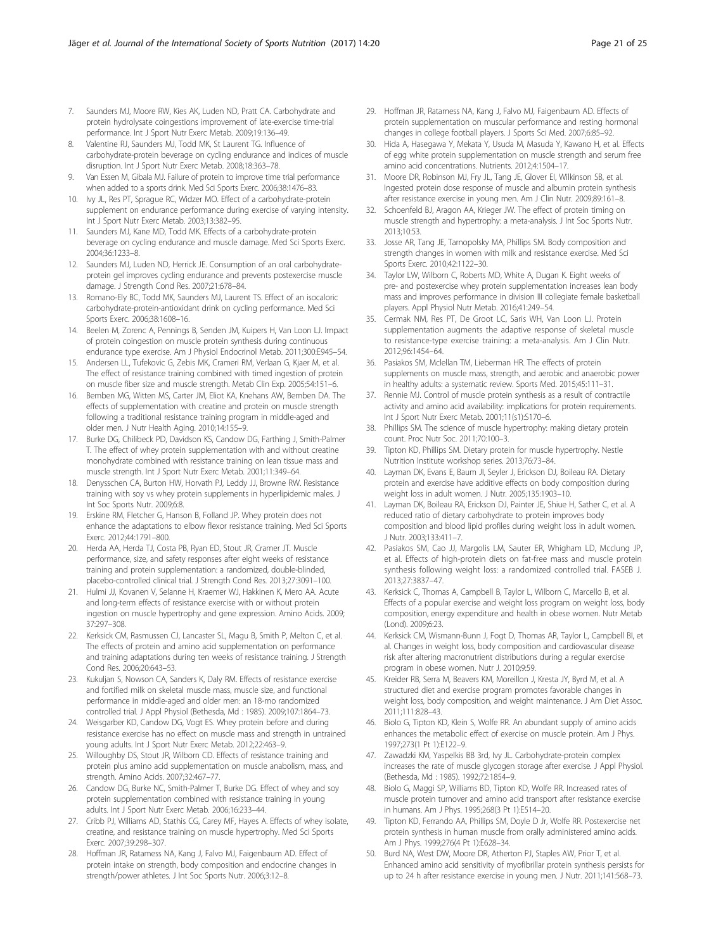- <span id="page-22-0"></span>7. Saunders MJ, Moore RW, Kies AK, Luden ND, Pratt CA. Carbohydrate and protein hydrolysate coingestions improvement of late-exercise time-trial performance. Int J Sport Nutr Exerc Metab. 2009;19:136–49.
- Valentine RJ, Saunders MJ, Todd MK, St Laurent TG. Influence of carbohydrate-protein beverage on cycling endurance and indices of muscle disruption. Int J Sport Nutr Exerc Metab. 2008;18:363–78.
- Van Essen M, Gibala MJ. Failure of protein to improve time trial performance when added to a sports drink. Med Sci Sports Exerc. 2006;38:1476–83.
- 10. Ivy JL, Res PT, Sprague RC, Widzer MO. Effect of a carbohydrate-protein supplement on endurance performance during exercise of varying intensity. Int J Sport Nutr Exerc Metab. 2003;13:382–95.
- 11. Saunders MJ, Kane MD, Todd MK. Effects of a carbohydrate-protein beverage on cycling endurance and muscle damage. Med Sci Sports Exerc. 2004;36:1233–8.
- 12. Saunders MJ, Luden ND, Herrick JE. Consumption of an oral carbohydrateprotein gel improves cycling endurance and prevents postexercise muscle damage. J Strength Cond Res. 2007;21:678–84.
- 13. Romano-Ely BC, Todd MK, Saunders MJ, Laurent TS. Effect of an isocaloric carbohydrate-protein-antioxidant drink on cycling performance. Med Sci Sports Exerc. 2006;38:1608–16.
- 14. Beelen M, Zorenc A, Pennings B, Senden JM, Kuipers H, Van Loon LJ. Impact of protein coingestion on muscle protein synthesis during continuous endurance type exercise. Am J Physiol Endocrinol Metab. 2011;300:E945–54.
- 15. Andersen LL, Tufekovic G, Zebis MK, Crameri RM, Verlaan G, Kjaer M, et al. The effect of resistance training combined with timed ingestion of protein on muscle fiber size and muscle strength. Metab Clin Exp. 2005;54:151–6.
- 16. Bemben MG, Witten MS, Carter JM, Eliot KA, Knehans AW, Bemben DA. The effects of supplementation with creatine and protein on muscle strength following a traditional resistance training program in middle-aged and older men. J Nutr Health Aging. 2010;14:155–9.
- 17. Burke DG, Chilibeck PD, Davidson KS, Candow DG, Farthing J, Smith-Palmer T. The effect of whey protein supplementation with and without creatine monohydrate combined with resistance training on lean tissue mass and muscle strength. Int J Sport Nutr Exerc Metab. 2001;11:349–64.
- 18. Denysschen CA, Burton HW, Horvath PJ, Leddy JJ, Browne RW. Resistance training with soy vs whey protein supplements in hyperlipidemic males. J Int Soc Sports Nutr. 2009;6:8.
- 19. Erskine RM, Fletcher G, Hanson B, Folland JP. Whey protein does not enhance the adaptations to elbow flexor resistance training. Med Sci Sports Exerc. 2012;44:1791–800.
- 20. Herda AA, Herda TJ, Costa PB, Ryan ED, Stout JR, Cramer JT. Muscle performance, size, and safety responses after eight weeks of resistance training and protein supplementation: a randomized, double-blinded, placebo-controlled clinical trial. J Strength Cond Res. 2013;27:3091–100.
- 21. Hulmi JJ, Kovanen V, Selanne H, Kraemer WJ, Hakkinen K, Mero AA. Acute and long-term effects of resistance exercise with or without protein ingestion on muscle hypertrophy and gene expression. Amino Acids. 2009; 37:297–308.
- 22. Kerksick CM, Rasmussen CJ, Lancaster SL, Magu B, Smith P, Melton C, et al. The effects of protein and amino acid supplementation on performance and training adaptations during ten weeks of resistance training. J Strength Cond Res. 2006;20:643–53.
- 23. Kukuljan S, Nowson CA, Sanders K, Daly RM. Effects of resistance exercise and fortified milk on skeletal muscle mass, muscle size, and functional performance in middle-aged and older men: an 18-mo randomized controlled trial. J Appl Physiol (Bethesda, Md : 1985). 2009;107:1864–73.
- 24. Weisgarber KD, Candow DG, Vogt ES. Whey protein before and during resistance exercise has no effect on muscle mass and strength in untrained young adults. Int J Sport Nutr Exerc Metab. 2012;22:463–9.
- 25. Willoughby DS, Stout JR, Wilborn CD. Effects of resistance training and protein plus amino acid supplementation on muscle anabolism, mass, and strength. Amino Acids. 2007;32:467–77.
- 26. Candow DG, Burke NC, Smith-Palmer T, Burke DG. Effect of whey and soy protein supplementation combined with resistance training in young adults. Int J Sport Nutr Exerc Metab. 2006;16:233–44.
- 27. Cribb PJ, Williams AD, Stathis CG, Carey MF, Hayes A. Effects of whey isolate, creatine, and resistance training on muscle hypertrophy. Med Sci Sports Exerc. 2007;39:298–307.
- 28. Hoffman JR, Ratamess NA, Kang J, Falvo MJ, Faigenbaum AD. Effect of protein intake on strength, body composition and endocrine changes in strength/power athletes. J Int Soc Sports Nutr. 2006;3:12–8.
- 29. Hoffman JR, Ratamess NA, Kang J, Falvo MJ, Faigenbaum AD. Effects of protein supplementation on muscular performance and resting hormonal changes in college football players. J Sports Sci Med. 2007;6:85–92.
- 30. Hida A, Hasegawa Y, Mekata Y, Usuda M, Masuda Y, Kawano H, et al. Effects of egg white protein supplementation on muscle strength and serum free amino acid concentrations. Nutrients. 2012;4:1504–17.
- 31. Moore DR, Robinson MJ, Fry JL, Tang JE, Glover EI, Wilkinson SB, et al. Ingested protein dose response of muscle and albumin protein synthesis after resistance exercise in young men. Am J Clin Nutr. 2009;89:161–8.
- 32. Schoenfeld BJ, Aragon AA, Krieger JW. The effect of protein timing on muscle strength and hypertrophy: a meta-analysis. J Int Soc Sports Nutr. 2013;10:53.
- 33. Josse AR, Tang JE, Tarnopolsky MA, Phillips SM. Body composition and strength changes in women with milk and resistance exercise. Med Sci Sports Exerc. 2010;42:1122–30.
- 34. Taylor LW, Wilborn C, Roberts MD, White A, Dugan K. Eight weeks of pre- and postexercise whey protein supplementation increases lean body mass and improves performance in division III collegiate female basketball players. Appl Physiol Nutr Metab. 2016;41:249–54.
- 35. Cermak NM, Res PT, De Groot LC, Saris WH, Van Loon LJ. Protein supplementation augments the adaptive response of skeletal muscle to resistance-type exercise training: a meta-analysis. Am J Clin Nutr. 2012;96:1454–64.
- 36. Pasiakos SM, Mclellan TM, Lieberman HR. The effects of protein supplements on muscle mass, strength, and aerobic and anaerobic power in healthy adults: a systematic review. Sports Med. 2015;45:111–31.
- 37. Rennie MJ. Control of muscle protein synthesis as a result of contractile activity and amino acid availability: implications for protein requirements. Int J Sport Nutr Exerc Metab. 2001;11(s1):S170–6.
- 38. Phillips SM. The science of muscle hypertrophy: making dietary protein count. Proc Nutr Soc. 2011;70:100–3.
- 39. Tipton KD, Phillips SM. Dietary protein for muscle hypertrophy. Nestle Nutrition Institute workshop series. 2013;76:73–84.
- 40. Layman DK, Evans E, Baum JI, Seyler J, Erickson DJ, Boileau RA. Dietary protein and exercise have additive effects on body composition during weight loss in adult women. J Nutr. 2005;135:1903–10.
- 41. Layman DK, Boileau RA, Erickson DJ, Painter JE, Shiue H, Sather C, et al. A reduced ratio of dietary carbohydrate to protein improves body composition and blood lipid profiles during weight loss in adult women. J Nutr. 2003;133:411–7.
- 42. Pasiakos SM, Cao JJ, Margolis LM, Sauter ER, Whigham LD, Mcclung JP, et al. Effects of high-protein diets on fat-free mass and muscle protein synthesis following weight loss: a randomized controlled trial. FASEB J. 2013;27:3837–47.
- 43. Kerksick C, Thomas A, Campbell B, Taylor L, Wilborn C, Marcello B, et al. Effects of a popular exercise and weight loss program on weight loss, body composition, energy expenditure and health in obese women. Nutr Metab (Lond). 2009;6:23.
- 44. Kerksick CM, Wismann-Bunn J, Fogt D, Thomas AR, Taylor L, Campbell BI, et al. Changes in weight loss, body composition and cardiovascular disease risk after altering macronutrient distributions during a regular exercise program in obese women. Nutr J. 2010;9:59.
- 45. Kreider RB, Serra M, Beavers KM, Moreillon J, Kresta JY, Byrd M, et al. A structured diet and exercise program promotes favorable changes in weight loss, body composition, and weight maintenance. J Am Diet Assoc. 2011;111:828–43.
- 46. Biolo G, Tipton KD, Klein S, Wolfe RR. An abundant supply of amino acids enhances the metabolic effect of exercise on muscle protein. Am J Phys. 1997;273(1 Pt 1):E122–9.
- 47. Zawadzki KM, Yaspelkis BB 3rd, Ivy JL. Carbohydrate-protein complex increases the rate of muscle glycogen storage after exercise. J Appl Physiol. (Bethesda, Md : 1985). 1992;72:1854–9.
- 48. Biolo G, Maggi SP, Williams BD, Tipton KD, Wolfe RR. Increased rates of muscle protein turnover and amino acid transport after resistance exercise in humans. Am J Phys. 1995;268(3 Pt 1):E514–20.
- 49. Tipton KD, Ferrando AA, Phillips SM, Doyle D Jr, Wolfe RR. Postexercise net protein synthesis in human muscle from orally administered amino acids. Am J Phys. 1999;276(4 Pt 1):E628–34.
- 50. Burd NA, West DW, Moore DR, Atherton PJ, Staples AW, Prior T, et al. Enhanced amino acid sensitivity of myofibrillar protein synthesis persists for up to 24 h after resistance exercise in young men. J Nutr. 2011;141:568–73.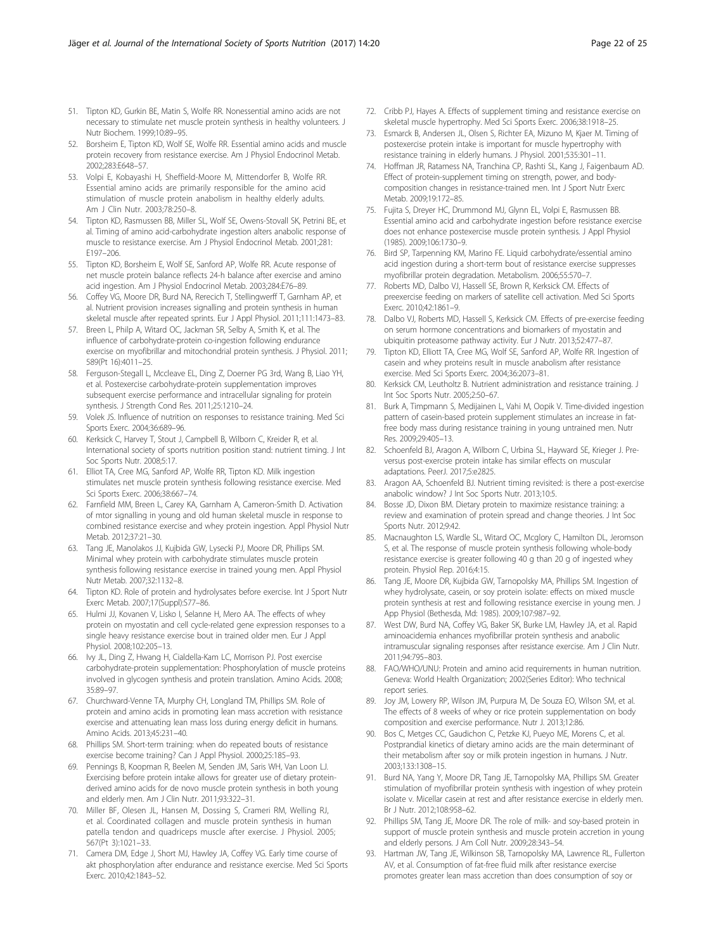- <span id="page-23-0"></span>51. Tipton KD, Gurkin BE, Matin S, Wolfe RR. Nonessential amino acids are not necessary to stimulate net muscle protein synthesis in healthy volunteers. J Nutr Biochem. 1999;10:89–95.
- 52. Borsheim E, Tipton KD, Wolf SE, Wolfe RR. Essential amino acids and muscle protein recovery from resistance exercise. Am J Physiol Endocrinol Metab. 2002;283:E648–57.
- 53. Volpi E, Kobayashi H, Sheffield-Moore M, Mittendorfer B, Wolfe RR. Essential amino acids are primarily responsible for the amino acid stimulation of muscle protein anabolism in healthy elderly adults. Am J Clin Nutr. 2003;78:250–8.
- 54. Tipton KD, Rasmussen BB, Miller SL, Wolf SE, Owens-Stovall SK, Petrini BE, et al. Timing of amino acid-carbohydrate ingestion alters anabolic response of muscle to resistance exercise. Am J Physiol Endocrinol Metab. 2001;281: E197–206.
- 55. Tipton KD, Borsheim E, Wolf SE, Sanford AP, Wolfe RR. Acute response of net muscle protein balance reflects 24-h balance after exercise and amino acid ingestion. Am J Physiol Endocrinol Metab. 2003;284:E76–89.
- 56. Coffey VG, Moore DR, Burd NA, Rerecich T, Stellingwerff T, Garnham AP, et al. Nutrient provision increases signalling and protein synthesis in human skeletal muscle after repeated sprints. Eur J Appl Physiol. 2011;111:1473–83.
- 57. Breen L, Philp A, Witard OC, Jackman SR, Selby A, Smith K, et al. The influence of carbohydrate-protein co-ingestion following endurance exercise on myofibrillar and mitochondrial protein synthesis. J Physiol. 2011; 589(Pt 16):4011–25.
- 58. Ferguson-Stegall L, Mccleave EL, Ding Z, Doerner PG 3rd, Wang B, Liao YH, et al. Postexercise carbohydrate-protein supplementation improves subsequent exercise performance and intracellular signaling for protein synthesis. J Strength Cond Res. 2011;25:1210–24.
- 59. Volek JS. Influence of nutrition on responses to resistance training. Med Sci Sports Exerc. 2004;36:689–96.
- 60. Kerksick C, Harvey T, Stout J, Campbell B, Wilborn C, Kreider R, et al. International society of sports nutrition position stand: nutrient timing. J Int Soc Sports Nutr. 2008;5:17.
- 61. Elliot TA, Cree MG, Sanford AP, Wolfe RR, Tipton KD. Milk ingestion stimulates net muscle protein synthesis following resistance exercise. Med Sci Sports Exerc. 2006;38:667–74.
- 62. Farnfield MM, Breen L, Carey KA, Garnham A, Cameron-Smith D. Activation of mtor signalling in young and old human skeletal muscle in response to combined resistance exercise and whey protein ingestion. Appl Physiol Nutr Metab. 2012;37:21–30.
- 63. Tang JE, Manolakos JJ, Kujbida GW, Lysecki PJ, Moore DR, Phillips SM. Minimal whey protein with carbohydrate stimulates muscle protein synthesis following resistance exercise in trained young men. Appl Physiol Nutr Metab. 2007;32:1132–8.
- 64. Tipton KD. Role of protein and hydrolysates before exercise. Int J Sport Nutr Exerc Metab. 2007;17(Suppl):S77–86.
- 65. Hulmi JJ, Kovanen V, Lisko I, Selanne H, Mero AA. The effects of whey protein on myostatin and cell cycle-related gene expression responses to a single heavy resistance exercise bout in trained older men. Eur J Appl Physiol. 2008;102:205–13.
- 66. Ivy JL, Ding Z, Hwang H, Cialdella-Kam LC, Morrison PJ. Post exercise carbohydrate-protein supplementation: Phosphorylation of muscle proteins involved in glycogen synthesis and protein translation. Amino Acids. 2008; 35:89–97.
- 67. Churchward-Venne TA, Murphy CH, Longland TM, Phillips SM. Role of protein and amino acids in promoting lean mass accretion with resistance exercise and attenuating lean mass loss during energy deficit in humans. Amino Acids. 2013;45:231–40.
- 68. Phillips SM. Short-term training: when do repeated bouts of resistance exercise become training? Can J Appl Physiol. 2000;25:185–93.
- 69. Pennings B, Koopman R, Beelen M, Senden JM, Saris WH, Van Loon LJ. Exercising before protein intake allows for greater use of dietary proteinderived amino acids for de novo muscle protein synthesis in both young and elderly men. Am J Clin Nutr. 2011;93:322–31.
- 70. Miller BF, Olesen JL, Hansen M, Dossing S, Crameri RM, Welling RJ, et al. Coordinated collagen and muscle protein synthesis in human patella tendon and quadriceps muscle after exercise. J Physiol. 2005; 567(Pt 3):1021–33.
- 71. Camera DM, Edge J, Short MJ, Hawley JA, Coffey VG. Early time course of akt phosphorylation after endurance and resistance exercise. Med Sci Sports Exerc. 2010;42:1843–52.
- 72. Cribb PJ, Hayes A. Effects of supplement timing and resistance exercise on skeletal muscle hypertrophy. Med Sci Sports Exerc. 2006;38:1918–25.
- 73. Esmarck B, Andersen JL, Olsen S, Richter EA, Mizuno M, Kjaer M. Timing of postexercise protein intake is important for muscle hypertrophy with resistance training in elderly humans. J Physiol. 2001;535:301–11.
- 74. Hoffman JR, Ratamess NA, Tranchina CP, Rashti SL, Kang J, Faigenbaum AD. Effect of protein-supplement timing on strength, power, and bodycomposition changes in resistance-trained men. Int J Sport Nutr Exerc Metab. 2009;19:172–85.
- 75. Fujita S, Dreyer HC, Drummond MJ, Glynn EL, Volpi E, Rasmussen BB. Essential amino acid and carbohydrate ingestion before resistance exercise does not enhance postexercise muscle protein synthesis. J Appl Physiol (1985). 2009;106:1730–9.
- 76. Bird SP, Tarpenning KM, Marino FE. Liquid carbohydrate/essential amino acid ingestion during a short-term bout of resistance exercise suppresses myofibrillar protein degradation. Metabolism. 2006;55:570–7.
- 77. Roberts MD, Dalbo VJ, Hassell SE, Brown R, Kerksick CM. Effects of preexercise feeding on markers of satellite cell activation. Med Sci Sports Exerc. 2010;42:1861–9.
- 78. Dalbo VJ, Roberts MD, Hassell S, Kerksick CM. Effects of pre-exercise feeding on serum hormone concentrations and biomarkers of myostatin and ubiquitin proteasome pathway activity. Eur J Nutr. 2013;52:477–87.
- 79. Tipton KD, Elliott TA, Cree MG, Wolf SE, Sanford AP, Wolfe RR. Ingestion of casein and whey proteins result in muscle anabolism after resistance exercise. Med Sci Sports Exerc. 2004;36:2073–81.
- 80. Kerksick CM, Leutholtz B. Nutrient administration and resistance training. J Int Soc Sports Nutr. 2005;2:50–67.
- 81. Burk A, Timpmann S, Medijainen L, Vahi M, Oopik V. Time-divided ingestion pattern of casein-based protein supplement stimulates an increase in fatfree body mass during resistance training in young untrained men. Nutr Res. 2009;29:405–13.
- 82. Schoenfeld BJ, Aragon A, Wilborn C, Urbina SL, Hayward SE, Krieger J. Preversus post-exercise protein intake has similar effects on muscular adaptations. PeerJ. 2017;5:e2825.
- 83. Aragon AA, Schoenfeld BJ. Nutrient timing revisited: is there a post-exercise anabolic window? J Int Soc Sports Nutr. 2013;10:5.
- 84. Bosse JD, Dixon BM. Dietary protein to maximize resistance training: a review and examination of protein spread and change theories. J Int Soc Sports Nutr. 2012;9:42.
- 85. Macnaughton LS, Wardle SL, Witard OC, Mcglory C, Hamilton DL, Jeromson S, et al. The response of muscle protein synthesis following whole-body resistance exercise is greater following 40 g than 20 g of ingested whey protein. Physiol Rep. 2016;4:15.
- 86. Tang JE, Moore DR, Kujbida GW, Tarnopolsky MA, Phillips SM. Ingestion of whey hydrolysate, casein, or soy protein isolate: effects on mixed muscle protein synthesis at rest and following resistance exercise in young men. J App Physiol (Bethesda, Md: 1985). 2009;107:987–92.
- 87. West DW, Burd NA, Coffey VG, Baker SK, Burke LM, Hawley JA, et al. Rapid aminoacidemia enhances myofibrillar protein synthesis and anabolic intramuscular signaling responses after resistance exercise. Am J Clin Nutr. 2011;94:795–803.
- 88. FAO/WHO/UNU: Protein and amino acid requirements in human nutrition. Geneva: World Health Organization; 2002(Series Editor): Who technical report series.
- 89. Joy JM, Lowery RP, Wilson JM, Purpura M, De Souza EO, Wilson SM, et al. The effects of 8 weeks of whey or rice protein supplementation on body composition and exercise performance. Nutr J. 2013;12:86.
- 90. Bos C, Metges CC, Gaudichon C, Petzke KJ, Pueyo ME, Morens C, et al. Postprandial kinetics of dietary amino acids are the main determinant of their metabolism after soy or milk protein ingestion in humans. J Nutr. 2003;133:1308–15.
- 91. Burd NA, Yang Y, Moore DR, Tang JE, Tarnopolsky MA, Phillips SM. Greater stimulation of myofibrillar protein synthesis with ingestion of whey protein isolate v. Micellar casein at rest and after resistance exercise in elderly men. Br J Nutr. 2012;108:958–62.
- 92. Phillips SM, Tang JE, Moore DR. The role of milk- and soy-based protein in support of muscle protein synthesis and muscle protein accretion in young and elderly persons. J Am Coll Nutr. 2009;28:343–54.
- 93. Hartman JW, Tang JE, Wilkinson SB, Tarnopolsky MA, Lawrence RL, Fullerton AV, et al. Consumption of fat-free fluid milk after resistance exercise promotes greater lean mass accretion than does consumption of soy or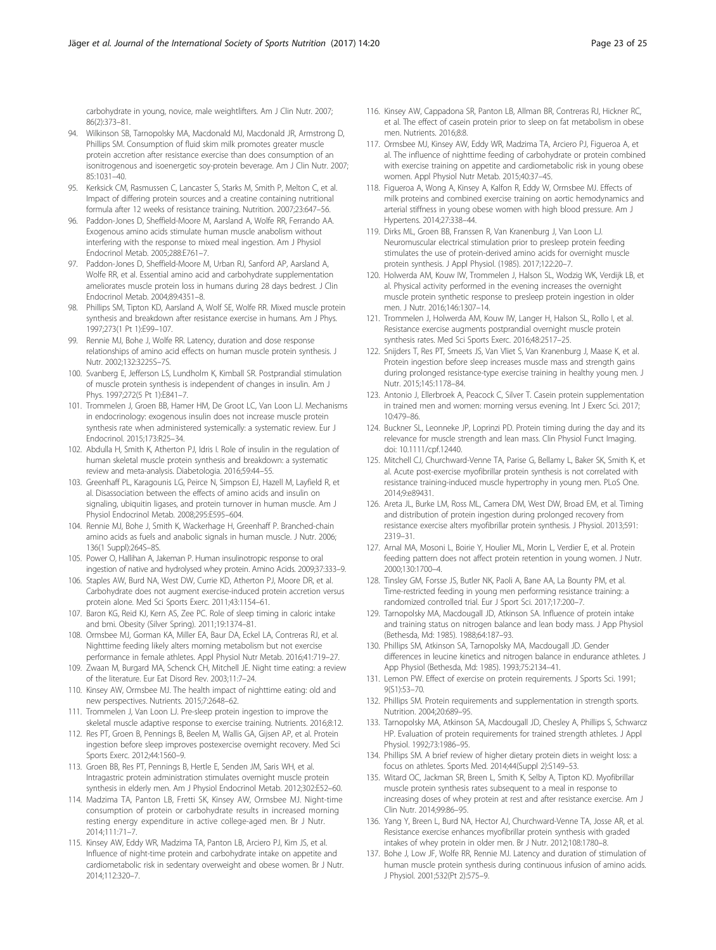<span id="page-24-0"></span>carbohydrate in young, novice, male weightlifters. Am J Clin Nutr. 2007; 86(2):373–81.

- 94. Wilkinson SB, Tarnopolsky MA, Macdonald MJ, Macdonald JR, Armstrong D, Phillips SM. Consumption of fluid skim milk promotes greater muscle protein accretion after resistance exercise than does consumption of an isonitrogenous and isoenergetic soy-protein beverage. Am J Clin Nutr. 2007; 85:1031–40.
- 95. Kerksick CM, Rasmussen C, Lancaster S, Starks M, Smith P, Melton C, et al. Impact of differing protein sources and a creatine containing nutritional formula after 12 weeks of resistance training. Nutrition. 2007;23:647–56.
- 96. Paddon-Jones D, Sheffield-Moore M, Aarsland A, Wolfe RR, Ferrando AA. Exogenous amino acids stimulate human muscle anabolism without interfering with the response to mixed meal ingestion. Am J Physiol Endocrinol Metab. 2005;288:E761–7.
- 97. Paddon-Jones D, Sheffield-Moore M, Urban RJ, Sanford AP, Aarsland A, Wolfe RR, et al. Essential amino acid and carbohydrate supplementation ameliorates muscle protein loss in humans during 28 days bedrest. J Clin Endocrinol Metab. 2004;89:4351–8.
- 98. Phillips SM, Tipton KD, Aarsland A, Wolf SE, Wolfe RR. Mixed muscle protein synthesis and breakdown after resistance exercise in humans. Am J Phys. 1997;273(1 Pt 1):E99–107.
- 99. Rennie MJ, Bohe J, Wolfe RR. Latency, duration and dose response relationships of amino acid effects on human muscle protein synthesis. J Nutr. 2002;132:3225S–7S.
- 100. Svanberg E, Jefferson LS, Lundholm K, Kimball SR. Postprandial stimulation of muscle protein synthesis is independent of changes in insulin. Am J Phys. 1997;272(5 Pt 1):E841–7.
- 101. Trommelen J, Groen BB, Hamer HM, De Groot LC, Van Loon LJ. Mechanisms in endocrinology: exogenous insulin does not increase muscle protein synthesis rate when administered systemically: a systematic review. Eur J Endocrinol. 2015;173:R25–34.
- 102. Abdulla H, Smith K, Atherton PJ, Idris I. Role of insulin in the regulation of human skeletal muscle protein synthesis and breakdown: a systematic review and meta-analysis. Diabetologia. 2016;59:44–55.
- 103. Greenhaff PL, Karagounis LG, Peirce N, Simpson EJ, Hazell M, Layfield R, et al. Disassociation between the effects of amino acids and insulin on signaling, ubiquitin ligases, and protein turnover in human muscle. Am J Physiol Endocrinol Metab. 2008;295:E595–604.
- 104. Rennie MJ, Bohe J, Smith K, Wackerhage H, Greenhaff P. Branched-chain amino acids as fuels and anabolic signals in human muscle. J Nutr. 2006; 136(1 Suppl):264S–8S.
- 105. Power O, Hallihan A, Jakeman P. Human insulinotropic response to oral ingestion of native and hydrolysed whey protein. Amino Acids. 2009;37:333–9.
- 106. Staples AW, Burd NA, West DW, Currie KD, Atherton PJ, Moore DR, et al. Carbohydrate does not augment exercise-induced protein accretion versus protein alone. Med Sci Sports Exerc. 2011;43:1154–61.
- 107. Baron KG, Reid KJ, Kern AS, Zee PC. Role of sleep timing in caloric intake and bmi. Obesity (Silver Spring). 2011;19:1374–81.
- 108. Ormsbee MJ, Gorman KA, Miller EA, Baur DA, Eckel LA, Contreras RJ, et al. Nighttime feeding likely alters morning metabolism but not exercise performance in female athletes. Appl Physiol Nutr Metab. 2016;41:719–27.
- 109. Zwaan M, Burgard MA, Schenck CH, Mitchell JE. Night time eating: a review of the literature. Eur Eat Disord Rev. 2003;11:7–24.
- 110. Kinsey AW, Ormsbee MJ. The health impact of nighttime eating: old and new perspectives. Nutrients. 2015;7:2648–62.
- 111. Trommelen J, Van Loon LJ. Pre-sleep protein ingestion to improve the skeletal muscle adaptive response to exercise training. Nutrients. 2016;8:12.
- 112. Res PT, Groen B, Pennings B, Beelen M, Wallis GA, Gijsen AP, et al. Protein ingestion before sleep improves postexercise overnight recovery. Med Sci Sports Exerc. 2012;44:1560–9.
- 113. Groen BB, Res PT, Pennings B, Hertle E, Senden JM, Saris WH, et al. Intragastric protein administration stimulates overnight muscle protein synthesis in elderly men. Am J Physiol Endocrinol Metab. 2012;302:E52–60.
- 114. Madzima TA, Panton LB, Fretti SK, Kinsey AW, Ormsbee MJ. Night-time consumption of protein or carbohydrate results in increased morning resting energy expenditure in active college-aged men. Br J Nutr. 2014;111:71–7.
- 115. Kinsey AW, Eddy WR, Madzima TA, Panton LB, Arciero PJ, Kim JS, et al. Influence of night-time protein and carbohydrate intake on appetite and cardiometabolic risk in sedentary overweight and obese women. Br J Nutr. 2014;112:320–7.
- 116. Kinsey AW, Cappadona SR, Panton LB, Allman BR, Contreras RJ, Hickner RC, et al. The effect of casein protein prior to sleep on fat metabolism in obese men. Nutrients. 2016;8:8.
- 117. Ormsbee MJ, Kinsey AW, Eddy WR, Madzima TA, Arciero PJ, Figueroa A, et al. The influence of nighttime feeding of carbohydrate or protein combined with exercise training on appetite and cardiometabolic risk in young obese women. Appl Physiol Nutr Metab. 2015;40:37–45.
- 118. Figueroa A, Wong A, Kinsey A, Kalfon R, Eddy W, Ormsbee MJ. Effects of milk proteins and combined exercise training on aortic hemodynamics and arterial stiffness in young obese women with high blood pressure. Am J Hypertens. 2014;27:338–44.
- 119. Dirks ML, Groen BB, Franssen R, Van Kranenburg J, Van Loon LJ. Neuromuscular electrical stimulation prior to presleep protein feeding stimulates the use of protein-derived amino acids for overnight muscle protein synthesis. J Appl Physiol. (1985). 2017;122:20–7.
- 120. Holwerda AM, Kouw IW, Trommelen J, Halson SL, Wodzig WK, Verdijk LB, et al. Physical activity performed in the evening increases the overnight muscle protein synthetic response to presleep protein ingestion in older men. J Nutr. 2016;146:1307–14.
- 121. Trommelen J, Holwerda AM, Kouw IW, Langer H, Halson SL, Rollo I, et al. Resistance exercise augments postprandial overnight muscle protein synthesis rates. Med Sci Sports Exerc. 2016;48:2517–25.
- 122. Snijders T, Res PT, Smeets JS, Van Vliet S, Van Kranenburg J, Maase K, et al. Protein ingestion before sleep increases muscle mass and strength gains during prolonged resistance-type exercise training in healthy young men. J Nutr. 2015;145:1178–84.
- 123. Antonio J, Ellerbroek A, Peacock C, Silver T. Casein protein supplementation in trained men and women: morning versus evening. Int J Exerc Sci. 2017; 10:479–86.
- 124. Buckner SL, Leonneke JP, Loprinzi PD. Protein timing during the day and its relevance for muscle strength and lean mass. Clin Physiol Funct Imaging. doi: [10.1111/cpf.12440](http://dx.doi.org/10.1111/cpf.12440).
- 125. Mitchell CJ, Churchward-Venne TA, Parise G, Bellamy L, Baker SK, Smith K, et al. Acute post-exercise myofibrillar protein synthesis is not correlated with resistance training-induced muscle hypertrophy in young men. PLoS One. 2014;9:e89431.
- 126. Areta JL, Burke LM, Ross ML, Camera DM, West DW, Broad EM, et al. Timing and distribution of protein ingestion during prolonged recovery from resistance exercise alters myofibrillar protein synthesis. J Physiol. 2013;591: 2319–31.
- 127. Arnal MA, Mosoni L, Boirie Y, Houlier ML, Morin L, Verdier E, et al. Protein feeding pattern does not affect protein retention in young women. J Nutr. 2000;130:1700–4.
- 128. Tinsley GM, Forsse JS, Butler NK, Paoli A, Bane AA, La Bounty PM, et al. Time-restricted feeding in young men performing resistance training: a randomized controlled trial. Eur J Sport Sci. 2017;17:200–7.
- 129. Tarnopolsky MA, Macdougall JD, Atkinson SA. Influence of protein intake and training status on nitrogen balance and lean body mass. J App Physiol (Bethesda, Md: 1985). 1988;64:187–93.
- 130. Phillips SM, Atkinson SA, Tarnopolsky MA, Macdougall JD. Gender differences in leucine kinetics and nitrogen balance in endurance athletes. J App Physiol (Bethesda, Md: 1985). 1993;75:2134–41.
- 131. Lemon PW. Effect of exercise on protein requirements. J Sports Sci. 1991; 9(S1):53–70.
- 132. Phillips SM. Protein requirements and supplementation in strength sports. Nutrition. 2004;20:689–95.
- 133. Tarnopolsky MA, Atkinson SA, Macdougall JD, Chesley A, Phillips S, Schwarcz HP. Evaluation of protein requirements for trained strength athletes. J Appl Physiol. 1992;73:1986–95.
- 134. Phillips SM. A brief review of higher dietary protein diets in weight loss: a focus on athletes. Sports Med. 2014;44(Suppl 2):S149–53.
- 135. Witard OC, Jackman SR, Breen L, Smith K, Selby A, Tipton KD. Myofibrillar muscle protein synthesis rates subsequent to a meal in response to increasing doses of whey protein at rest and after resistance exercise. Am J Clin Nutr. 2014;99:86–95.
- 136. Yang Y, Breen L, Burd NA, Hector AJ, Churchward-Venne TA, Josse AR, et al. Resistance exercise enhances myofibrillar protein synthesis with graded intakes of whey protein in older men. Br J Nutr. 2012;108:1780–8.
- 137. Bohe J, Low JF, Wolfe RR, Rennie MJ. Latency and duration of stimulation of human muscle protein synthesis during continuous infusion of amino acids. J Physiol. 2001;532(Pt 2):575–9.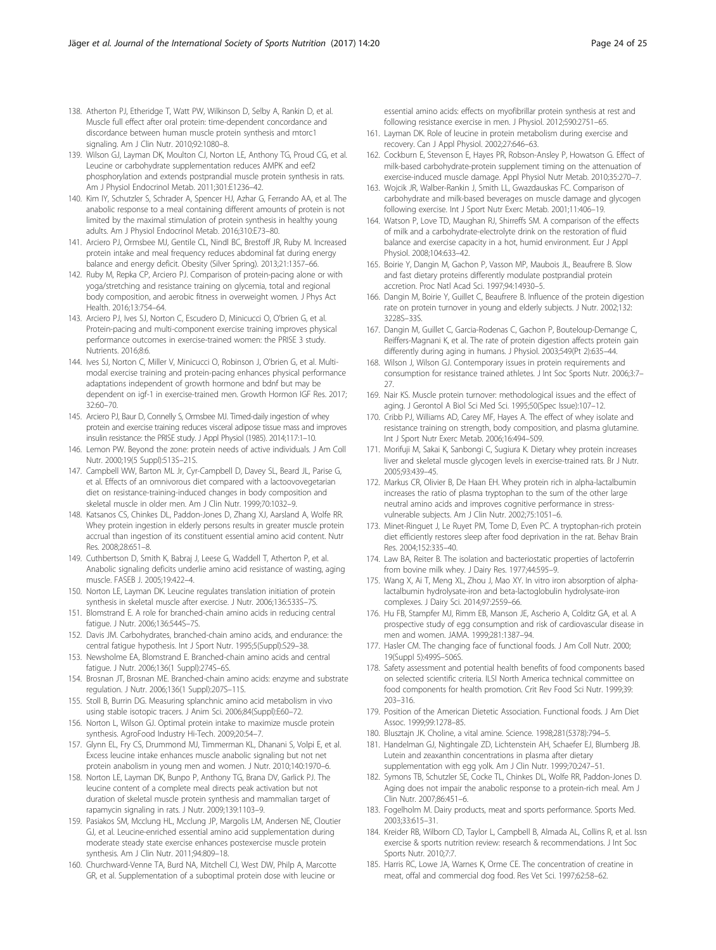- <span id="page-25-0"></span>138. Atherton PJ, Etheridge T, Watt PW, Wilkinson D, Selby A, Rankin D, et al. Muscle full effect after oral protein: time-dependent concordance and discordance between human muscle protein synthesis and mtorc1 signaling. Am J Clin Nutr. 2010;92:1080–8.
- 139. Wilson GJ, Layman DK, Moulton CJ, Norton LE, Anthony TG, Proud CG, et al. Leucine or carbohydrate supplementation reduces AMPK and eef2 phosphorylation and extends postprandial muscle protein synthesis in rats. Am J Physiol Endocrinol Metab. 2011;301:E1236–42.
- 140. Kim IY, Schutzler S, Schrader A, Spencer HJ, Azhar G, Ferrando AA, et al. The anabolic response to a meal containing different amounts of protein is not limited by the maximal stimulation of protein synthesis in healthy young adults. Am J Physiol Endocrinol Metab. 2016;310:E73–80.
- 141. Arciero PJ, Ormsbee MJ, Gentile CL, Nindl BC, Brestoff JR, Ruby M. Increased protein intake and meal frequency reduces abdominal fat during energy balance and energy deficit. Obesity (Silver Spring). 2013;21:1357–66.
- 142. Ruby M, Repka CP, Arciero PJ. Comparison of protein-pacing alone or with yoga/stretching and resistance training on glycemia, total and regional body composition, and aerobic fitness in overweight women. J Phys Act Health. 2016;13:754–64.
- 143. Arciero PJ, Ives SJ, Norton C, Escudero D, Minicucci O, O'brien G, et al. Protein-pacing and multi-component exercise training improves physical performance outcomes in exercise-trained women: the PRISE 3 study. Nutrients. 2016;8:6.
- 144. Ives SJ, Norton C, Miller V, Minicucci O, Robinson J, O'brien G, et al. Multimodal exercise training and protein-pacing enhances physical performance adaptations independent of growth hormone and bdnf but may be dependent on igf-1 in exercise-trained men. Growth Hormon IGF Res. 2017; 32:60–70.
- 145. Arciero PJ, Baur D, Connelly S, Ormsbee MJ. Timed-daily ingestion of whey protein and exercise training reduces visceral adipose tissue mass and improves insulin resistance: the PRISE study. J Appl Physiol (1985). 2014;117:1–10.
- 146. Lemon PW. Beyond the zone: protein needs of active individuals. J Am Coll Nutr. 2000;19(5 Suppl):513S–21S.
- 147. Campbell WW, Barton ML Jr, Cyr-Campbell D, Davey SL, Beard JL, Parise G, et al. Effects of an omnivorous diet compared with a lactoovovegetarian diet on resistance-training-induced changes in body composition and skeletal muscle in older men. Am J Clin Nutr. 1999;70:1032–9.
- 148. Katsanos CS, Chinkes DL, Paddon-Jones D, Zhang XJ, Aarsland A, Wolfe RR. Whey protein ingestion in elderly persons results in greater muscle protein accrual than ingestion of its constituent essential amino acid content. Nutr Res. 2008;28:651–8.
- 149. Cuthbertson D, Smith K, Babraj J, Leese G, Waddell T, Atherton P, et al. Anabolic signaling deficits underlie amino acid resistance of wasting, aging muscle. FASEB J. 2005;19:422–4.
- 150. Norton LE, Layman DK. Leucine regulates translation initiation of protein synthesis in skeletal muscle after exercise. J Nutr. 2006;136:533S–7S.
- 151. Blomstrand E. A role for branched-chain amino acids in reducing central fatigue. J Nutr. 2006;136:544S–7S.
- 152. Davis JM. Carbohydrates, branched-chain amino acids, and endurance: the central fatigue hypothesis. Int J Sport Nutr. 1995;5(Suppl):S29–38.
- 153. Newsholme EA, Blomstrand E. Branched-chain amino acids and central fatigue. J Nutr. 2006;136(1 Suppl):274S–6S.
- 154. Brosnan JT, Brosnan ME. Branched-chain amino acids: enzyme and substrate regulation. J Nutr. 2006;136(1 Suppl):207S–11S.
- 155. Stoll B, Burrin DG. Measuring splanchnic amino acid metabolism in vivo using stable isotopic tracers. J Anim Sci. 2006;84(Suppl):E60–72.
- 156. Norton L, Wilson GJ. Optimal protein intake to maximize muscle protein synthesis. AgroFood Industry Hi-Tech. 2009;20:54–7.
- 157. Glynn EL, Fry CS, Drummond MJ, Timmerman KL, Dhanani S, Volpi E, et al. Excess leucine intake enhances muscle anabolic signaling but not net protein anabolism in young men and women. J Nutr. 2010;140:1970–6.
- 158. Norton LE, Layman DK, Bunpo P, Anthony TG, Brana DV, Garlick PJ. The leucine content of a complete meal directs peak activation but not duration of skeletal muscle protein synthesis and mammalian target of rapamycin signaling in rats. J Nutr. 2009;139:1103–9.
- 159. Pasiakos SM, Mcclung HL, Mcclung JP, Margolis LM, Andersen NE, Cloutier GJ, et al. Leucine-enriched essential amino acid supplementation during moderate steady state exercise enhances postexercise muscle protein synthesis. Am J Clin Nutr. 2011;94:809–18.
- 160. Churchward-Venne TA, Burd NA, Mitchell CJ, West DW, Philp A, Marcotte GR, et al. Supplementation of a suboptimal protein dose with leucine or

essential amino acids: effects on myofibrillar protein synthesis at rest and following resistance exercise in men. J Physiol. 2012;590:2751–65.

- 161. Layman DK. Role of leucine in protein metabolism during exercise and recovery. Can J Appl Physiol. 2002;27:646–63.
- 162. Cockburn E, Stevenson E, Hayes PR, Robson-Ansley P, Howatson G. Effect of milk-based carbohydrate-protein supplement timing on the attenuation of exercise-induced muscle damage. Appl Physiol Nutr Metab. 2010;35:270–7.
- 163. Wojcik JR, Walber-Rankin J, Smith LL, Gwazdauskas FC. Comparison of carbohydrate and milk-based beverages on muscle damage and glycogen following exercise. Int J Sport Nutr Exerc Metab. 2001;11:406–19.
- 164. Watson P, Love TD, Maughan RJ, Shirreffs SM. A comparison of the effects of milk and a carbohydrate-electrolyte drink on the restoration of fluid balance and exercise capacity in a hot, humid environment. Eur J Appl Physiol. 2008;104:633–42.
- 165. Boirie Y, Dangin M, Gachon P, Vasson MP, Maubois JL, Beaufrere B. Slow and fast dietary proteins differently modulate postprandial protein accretion. Proc Natl Acad Sci. 1997;94:14930–5.
- 166. Dangin M, Boirie Y, Guillet C, Beaufrere B. Influence of the protein digestion rate on protein turnover in young and elderly subjects. J Nutr. 2002;132: 3228S–33S.
- 167. Dangin M, Guillet C, Garcia-Rodenas C, Gachon P, Bouteloup-Demange C, Reiffers-Magnani K, et al. The rate of protein digestion affects protein gain differently during aging in humans. J Physiol. 2003;549(Pt 2):635–44.
- 168. Wilson J, Wilson GJ. Contemporary issues in protein requirements and consumption for resistance trained athletes. J Int Soc Sports Nutr. 2006;3:7– 27.
- 169. Nair KS. Muscle protein turnover: methodological issues and the effect of aging. J Gerontol A Biol Sci Med Sci. 1995;50(Spec Issue):107–12.
- 170. Cribb PJ, Williams AD, Carey MF, Hayes A. The effect of whey isolate and resistance training on strength, body composition, and plasma glutamine. Int J Sport Nutr Exerc Metab. 2006;16:494–509.
- 171. Morifuji M, Sakai K, Sanbongi C, Sugiura K. Dietary whey protein increases liver and skeletal muscle glycogen levels in exercise-trained rats. Br J Nutr. 2005;93:439–45.
- 172. Markus CR, Olivier B, De Haan EH. Whey protein rich in alpha-lactalbumin increases the ratio of plasma tryptophan to the sum of the other large neutral amino acids and improves cognitive performance in stressvulnerable subjects. Am J Clin Nutr. 2002;75:1051–6.
- 173. Minet-Ringuet J, Le Ruyet PM, Tome D, Even PC. A tryptophan-rich protein diet efficiently restores sleep after food deprivation in the rat. Behav Brain Res. 2004;152:335–40.
- 174. Law BA, Reiter B. The isolation and bacteriostatic properties of lactoferrin from bovine milk whey. J Dairy Res. 1977;44:595–9.
- 175. Wang X, Ai T, Meng XL, Zhou J, Mao XY. In vitro iron absorption of alphalactalbumin hydrolysate-iron and beta-lactoglobulin hydrolysate-iron complexes. J Dairy Sci. 2014;97:2559–66.
- 176. Hu FB, Stampfer MJ, Rimm EB, Manson JE, Ascherio A, Colditz GA, et al. A prospective study of egg consumption and risk of cardiovascular disease in men and women. JAMA. 1999;281:1387–94.
- 177. Hasler CM. The changing face of functional foods. J Am Coll Nutr. 2000; 19(Suppl 5):499S–506S.
- 178. Safety assessment and potential health benefits of food components based on selected scientific criteria. ILSI North America technical committee on food components for health promotion. Crit Rev Food Sci Nutr. 1999;39: 203–316.
- 179. Position of the American Dietetic Association. Functional foods. J Am Diet Assoc. 1999;99:1278–85.
- 180. Blusztajn JK. Choline, a vital amine. Science. 1998;281(5378):794–5.
- 181. Handelman GJ, Nightingale ZD, Lichtenstein AH, Schaefer EJ, Blumberg JB. Lutein and zeaxanthin concentrations in plasma after dietary supplementation with egg yolk. Am J Clin Nutr. 1999;70:247–51.
- 182. Symons TB, Schutzler SE, Cocke TL, Chinkes DL, Wolfe RR, Paddon-Jones D. Aging does not impair the anabolic response to a protein-rich meal. Am J Clin Nutr. 2007;86:451–6.
- 183. Fogelholm M. Dairy products, meat and sports performance. Sports Med. 2003;33:615–31.
- 184. Kreider RB, Wilborn CD, Taylor L, Campbell B, Almada AL, Collins R, et al. Issn exercise & sports nutrition review: research & recommendations. J Int Soc Sports Nutr. 2010;7:7.
- 185. Harris RC, Lowe JA, Warnes K, Orme CE. The concentration of creatine in meat, offal and commercial dog food. Res Vet Sci. 1997;62:58–62.